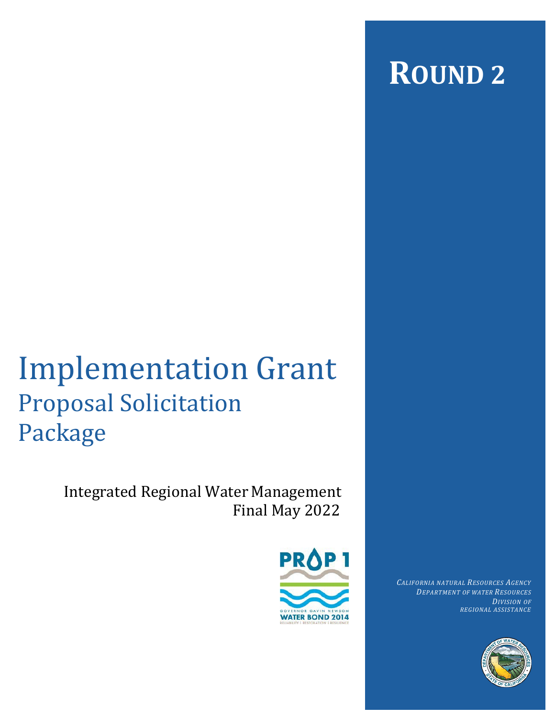# **ROUND 2**

# Implementation Grant Proposal Solicitation Package

Integrated Regional Water Management Final May 2022



*CALIFORNIA NATURAL RESOURCES AGENCY DEPARTMENT OF WATER RESOURCES DIVISION OF REGIONAL ASSISTANCE*

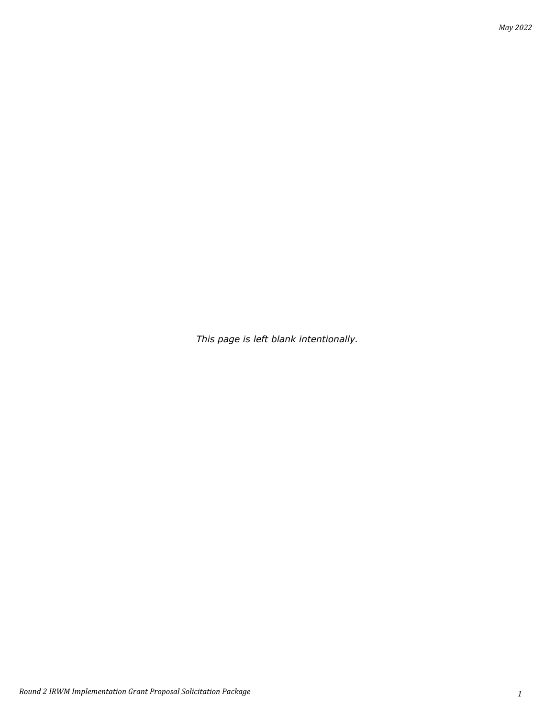*This page is left blank intentionally.*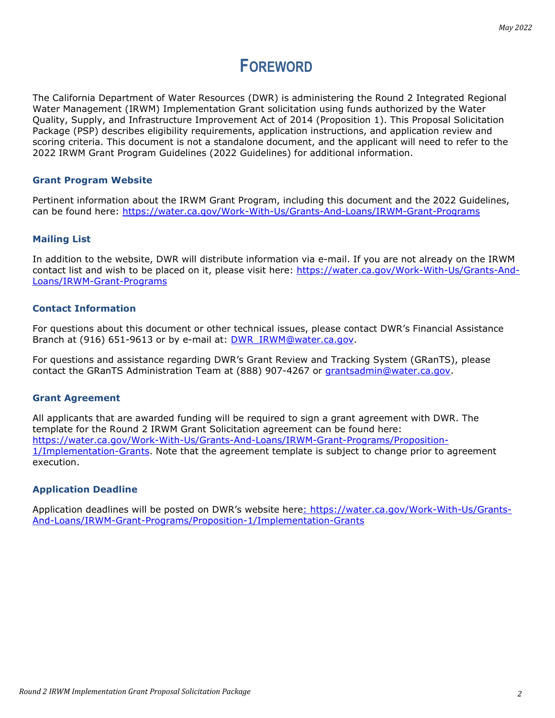## **FOREWORD**

The California Department of Water Resources (DWR) is administering the Round 2 Integrated Regional Water Management (IRWM) Implementation Grant solicitation using funds authorized by the Water Quality, Supply, and Infrastructure Improvement Act of 2014 (Proposition 1). This Proposal Solicitation Package (PSP) describes eligibility requirements, application instructions, and application review and scoring criteria. This document is not a standalone document, and the applicant will need to refer to the 2022 IRWM Grant Program Guidelines (2022 Guidelines) for additional information.

#### **Grant Program Website**

Pertinent information about the IRWM Grant Program, including this document and the 2022 Guidelines, can be found here:<https://water.ca.gov/Work-With-Us/Grants-And-Loans/IRWM-Grant-Programs>

#### **Mailing List**

In addition to the website, DWR will distribute information via e-mail. If you are not already on the IRWM contact list and wish to be placed on it, please visit here: [https://water.ca.gov/Work-With-Us/Grants-And-](https://water.ca.gov/Work-With-Us/Grants-And-Loans/IRWM-Grant-Programs)[Loans/IRWM-Grant-Programs](https://water.ca.gov/Work-With-Us/Grants-And-Loans/IRWM-Grant-Programs)

#### **Contact Information**

For questions about this document or other technical issues, please contact DWR's Financial Assistance Branch at (916) 651-9613 or by e-mail at: [DWR\\_IRWM@water.ca.gov.](mailto:DWR_IRWM@water.ca.gov)

For questions and assistance regarding DWR's Grant Review and Tracking System (GRanTS), please contact the GRanTS Administration Team at (888) 907-4267 or [grantsadmin@water.ca.gov.](mailto:grantsadmin@water.ca.gov)

#### **Grant Agreement**

All applicants that are awarded funding will be required to sign a grant agreement with DWR. The template for the Round 2 IRWM Grant Solicitation agreement can be found here: [https://water.ca.gov/Work-With-Us/Grants-And-Loans/IRWM-Grant-Programs/Proposition-](https://water.ca.gov/Work-With-Us/Grants-And-Loans/IRWM-Grant-Programs/Proposition-1/Implementation-Grants)[1/Implementation-Grants.](https://water.ca.gov/Work-With-Us/Grants-And-Loans/IRWM-Grant-Programs/Proposition-1/Implementation-Grants) Note that the agreement template is subject to change prior to agreement execution.

#### **Application Deadline**

Application deadlines will be posted on DWR's website here: [https://water.ca.gov/Work-With-Us/Grants-](https://water.ca.gov/Work-With-Us/Grants-And-Loans/IRWM-Grant-Programs/Proposition-1/Implementation-Grants)[And-Loans/IRWM-Grant-Programs/Proposition-1/Implementation-Grants](https://water.ca.gov/Work-With-Us/Grants-And-Loans/IRWM-Grant-Programs/Proposition-1/Implementation-Grants)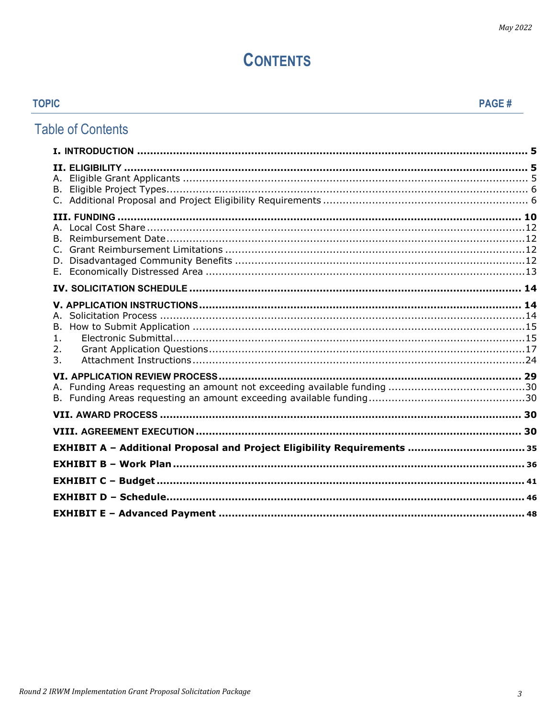## **CONTENTS**

### **TOPIC**

## **Table of Contents**

| D.       |                                                                          |  |  |  |  |
|----------|--------------------------------------------------------------------------|--|--|--|--|
|          |                                                                          |  |  |  |  |
|          |                                                                          |  |  |  |  |
|          |                                                                          |  |  |  |  |
| А.       |                                                                          |  |  |  |  |
|          |                                                                          |  |  |  |  |
| 1.<br>2. |                                                                          |  |  |  |  |
| 3.       |                                                                          |  |  |  |  |
|          |                                                                          |  |  |  |  |
|          |                                                                          |  |  |  |  |
|          |                                                                          |  |  |  |  |
|          |                                                                          |  |  |  |  |
|          |                                                                          |  |  |  |  |
|          | EXHIBIT A - Additional Proposal and Project Eligibility Requirements  35 |  |  |  |  |
|          |                                                                          |  |  |  |  |
|          |                                                                          |  |  |  |  |
|          |                                                                          |  |  |  |  |
|          |                                                                          |  |  |  |  |
|          |                                                                          |  |  |  |  |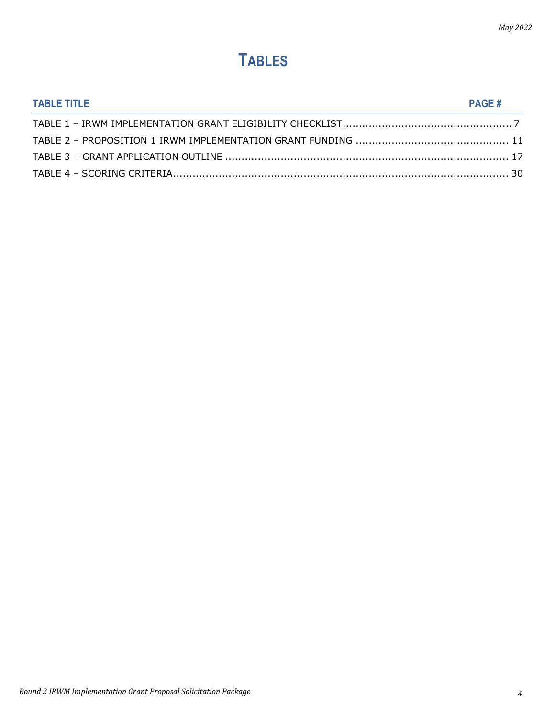## **TABLES**

<span id="page-4-0"></span>

| <b>TABLE TITLE</b> | <b>PAGE#</b> |
|--------------------|--------------|
|                    |              |
|                    |              |
|                    |              |
|                    |              |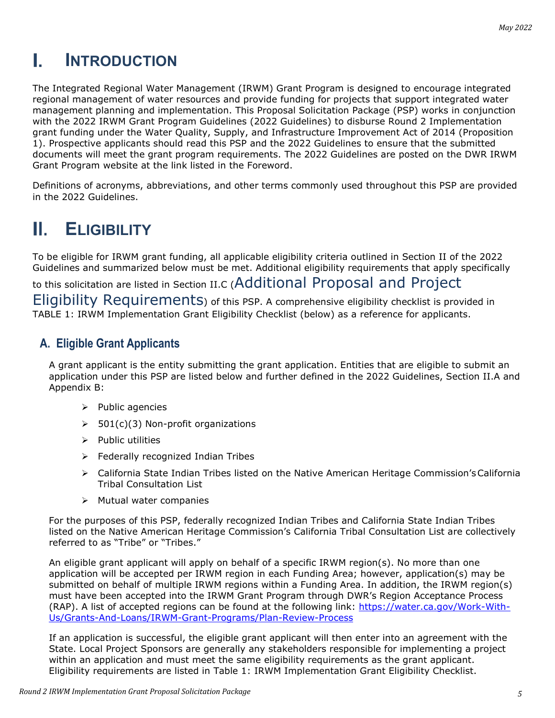#### <span id="page-5-0"></span>L **INTRODUCTION**

The Integrated Regional Water Management (IRWM) Grant Program is designed to encourage integrated regional management of water resources and provide funding for projects that support integrated water management planning and implementation. This Proposal Solicitation Package (PSP) works in conjunction with the 2022 IRWM Grant Program Guidelines (2022 Guidelines) to disburse Round 2 Implementation grant funding under the Water Quality, Supply, and Infrastructure Improvement Act of 2014 (Proposition 1). Prospective applicants should read this PSP and the 2022 Guidelines to ensure that the submitted documents will meet the grant program requirements. The 2022 Guidelines are posted on the DWR IRWM Grant Program website at the link listed in the Foreword.

Definitions of acronyms, abbreviations, and other terms commonly used throughout this PSP are provided in the 2022 Guidelines.

#### <span id="page-5-1"></span>Ш. **ELIGIBILITY**

To be eligible for IRWM grant funding, all applicable eligibility criteria outlined in Section II of the 2022 Guidelines and summarized below must be met. Additional eligibility requirements that apply specifically

to this solicitation are listed in Section II[.C \(Additional Proposal and Project](#page-6-1) 

Eligibility [Requirements\)](#page-6-1) of this PSP. A comprehensive eligibility checklist is provided in [TABLE 1: IRWM Implementation Grant Eligibility Checklist](#page-7-0) (below) as a reference for applicants.

### <span id="page-5-2"></span>**A. Eligible Grant Applicants**

A grant applicant is the entity submitting the grant application. Entities that are eligible to submit an application under this PSP are listed below and further defined in the 2022 Guidelines, Section II.A and Appendix B:

- $\triangleright$  Public agencies
- $\geq$  501(c)(3) Non-profit organizations
- $\triangleright$  Public utilities
- $\triangleright$  Federally recognized Indian Tribes
- California State Indian Tribes listed on the Native American Heritage Commission'sCalifornia Tribal Consultation List
- $\triangleright$  Mutual water companies

For the purposes of this PSP, federally recognized Indian Tribes and California State Indian Tribes listed on the Native American Heritage Commission's California Tribal Consultation List are collectively referred to as "Tribe" or "Tribes."

An eligible grant applicant will apply on behalf of a specific IRWM region(s). No more than one application will be accepted per IRWM region in each Funding Area; however, application(s) may be submitted on behalf of multiple IRWM regions within a Funding Area. In addition, the IRWM region(s) must have been accepted into the IRWM Grant Program through DWR's Region Acceptance Process (RAP). A list of accepted regions can be found at the following link: [https://water.ca.gov/Work-With-](https://water.ca.gov/Work-With-Us/Grants-And-Loans/IRWM-Grant-Programs/Plan-Review-Process)[Us/Grants-And-Loans/IRWM-Grant-Programs/Plan-Review-Process](https://water.ca.gov/Work-With-Us/Grants-And-Loans/IRWM-Grant-Programs/Plan-Review-Process)

If an application is successful, the eligible grant applicant will then enter into an agreement with the State. Local Project Sponsors are generally any stakeholders responsible for implementing a project within an application and must meet the same eligibility requirements as the grant applicant. Eligibility requirements are listed in Table 1: IRWM Implementation Grant Eligibility Checklist.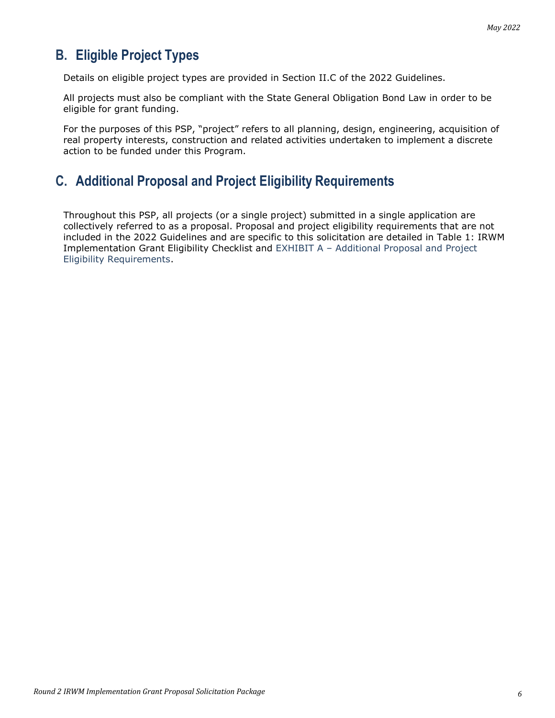## <span id="page-6-0"></span>**B. Eligible Project Types**

Details on eligible project types are provided in Section II.C of the 2022 Guidelines.

All projects must also be compliant with the State General Obligation Bond Law in order to be eligible for grant funding.

For the purposes of this PSP, "project" refers to all planning, design, engineering, acquisition of real property interests, construction and related activities undertaken to implement a discrete action to be funded under this Program.

## <span id="page-6-1"></span>**C. Additional Proposal and Project Eligibility Requirements**

Throughout this PSP, all projects (or a single project) submitted in a single application are collectively referred to as a proposal. Proposal and project eligibility requirements that are not included in the 2022 Guidelines and are specific to this solicitation are detailed in Table 1: IRWM Implementation Grant Eligibility Checklist and EXHIBIT A – [Additional Proposal and Project](#page-35-0)  [Eligibility Requirements.](#page-35-0)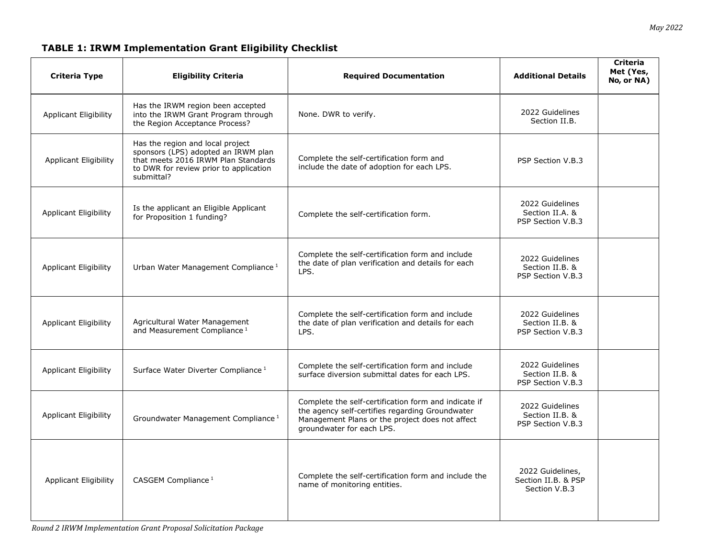#### **TABLE 1: IRWM Implementation Grant Eligibility Checklist**

<span id="page-7-0"></span>

| Criteria Type                                                                                                                                                                                          | <b>Eligibility Criteria</b>                                                                                | <b>Required Documentation</b>                                                                                                                                                           | <b>Additional Details</b>                                | <b>Criteria</b><br>Met (Yes,<br>No, or NA) |
|--------------------------------------------------------------------------------------------------------------------------------------------------------------------------------------------------------|------------------------------------------------------------------------------------------------------------|-----------------------------------------------------------------------------------------------------------------------------------------------------------------------------------------|----------------------------------------------------------|--------------------------------------------|
| <b>Applicant Eligibility</b>                                                                                                                                                                           | Has the IRWM region been accepted<br>into the IRWM Grant Program through<br>the Region Acceptance Process? | None. DWR to verify.                                                                                                                                                                    | 2022 Guidelines<br>Section II.B.                         |                                            |
| Has the region and local project<br>sponsors (LPS) adopted an IRWM plan<br>that meets 2016 IRWM Plan Standards<br><b>Applicant Eligibility</b><br>to DWR for review prior to application<br>submittal? |                                                                                                            | Complete the self-certification form and<br>include the date of adoption for each LPS.                                                                                                  | PSP Section V.B.3                                        |                                            |
| Is the applicant an Eligible Applicant<br><b>Applicant Eligibility</b><br>for Proposition 1 funding?                                                                                                   |                                                                                                            | Complete the self-certification form.                                                                                                                                                   | 2022 Guidelines<br>Section II.A. &<br>PSP Section V.B.3  |                                            |
| <b>Applicant Eligibility</b>                                                                                                                                                                           | Urban Water Management Compliance <sup>1</sup>                                                             | Complete the self-certification form and include<br>the date of plan verification and details for each<br>LPS.                                                                          | 2022 Guidelines<br>Section II.B. &<br>PSP Section V.B.3  |                                            |
| Applicant Eligibility                                                                                                                                                                                  | Agricultural Water Management<br>and Measurement Compliance <sup>1</sup>                                   | Complete the self-certification form and include<br>the date of plan verification and details for each<br>LPS.                                                                          | 2022 Guidelines<br>Section II.B. &<br>PSP Section V.B.3  |                                            |
| <b>Applicant Eligibility</b>                                                                                                                                                                           | Surface Water Diverter Compliance <sup>1</sup>                                                             | Complete the self-certification form and include<br>surface diversion submittal dates for each LPS.                                                                                     | 2022 Guidelines<br>Section II.B. &<br>PSP Section V.B.3  |                                            |
| <b>Applicant Eligibility</b>                                                                                                                                                                           | Groundwater Management Compliance <sup>1</sup>                                                             | Complete the self-certification form and indicate if<br>the agency self-certifies regarding Groundwater<br>Management Plans or the project does not affect<br>groundwater for each LPS. | 2022 Guidelines<br>Section II.B. &<br>PSP Section V.B.3  |                                            |
| <b>Applicant Eligibility</b>                                                                                                                                                                           | CASGEM Compliance <sup>1</sup>                                                                             | Complete the self-certification form and include the<br>name of monitoring entities.                                                                                                    | 2022 Guidelines,<br>Section II.B. & PSP<br>Section V.B.3 |                                            |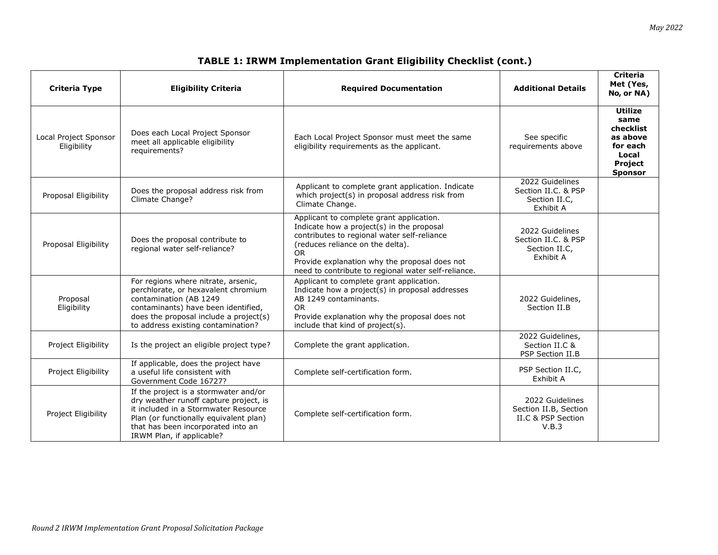| <b>Eligibility Criteria</b><br>Criteria Type |                                                                                                                                                                                                                                      | <b>Required Documentation</b>                                                                                                                                                                                                                                                                 | <b>Additional Details</b>                                               | Criteria<br>Met (Yes,<br>No, or NA)                                                               |
|----------------------------------------------|--------------------------------------------------------------------------------------------------------------------------------------------------------------------------------------------------------------------------------------|-----------------------------------------------------------------------------------------------------------------------------------------------------------------------------------------------------------------------------------------------------------------------------------------------|-------------------------------------------------------------------------|---------------------------------------------------------------------------------------------------|
| Local Project Sponsor<br>Eligibility         | Does each Local Project Sponsor<br>meet all applicable eligibility<br>requirements?                                                                                                                                                  | Each Local Project Sponsor must meet the same<br>eligibility requirements as the applicant.                                                                                                                                                                                                   | See specific<br>requirements above                                      | <b>Utilize</b><br>same<br>checklist<br>as above<br>for each<br>Local<br>Project<br><b>Sponsor</b> |
| Proposal Eligibility                         | Does the proposal address risk from<br>Climate Change?                                                                                                                                                                               | Applicant to complete grant application. Indicate<br>which project(s) in proposal address risk from<br>Climate Change.                                                                                                                                                                        | 2022 Guidelines<br>Section II.C. & PSP<br>Section II.C,<br>Exhibit A    |                                                                                                   |
| Proposal Eligibility                         | Does the proposal contribute to<br>regional water self-reliance?                                                                                                                                                                     | Applicant to complete grant application.<br>Indicate how a project(s) in the proposal<br>contributes to regional water self-reliance<br>(reduces reliance on the delta).<br><b>OR</b><br>Provide explanation why the proposal does not<br>need to contribute to regional water self-reliance. | 2022 Guidelines<br>Section II.C. & PSP<br>Section II.C,<br>Exhibit A    |                                                                                                   |
| Proposal<br>Eligibility                      | For regions where nitrate, arsenic,<br>perchlorate, or hexavalent chromium<br>contamination (AB 1249<br>contaminants) have been identified,<br>does the proposal include a project(s)<br>to address existing contamination?          | Applicant to complete grant application.<br>Indicate how a $project(s)$ in proposal addresses<br>AB 1249 contaminants.<br><b>OR</b><br>Provide explanation why the proposal does not<br>include that kind of project(s).                                                                      | 2022 Guidelines,<br>Section II.B                                        |                                                                                                   |
| Project Eligibility                          | Is the project an eligible project type?                                                                                                                                                                                             | Complete the grant application.                                                                                                                                                                                                                                                               | 2022 Guidelines,<br>Section II.C &<br>PSP Section II.B                  |                                                                                                   |
| Project Eligibility                          | If applicable, does the project have<br>a useful life consistent with<br>Government Code 16727?                                                                                                                                      | Complete self-certification form.                                                                                                                                                                                                                                                             | PSP Section II.C,<br>Exhibit A                                          |                                                                                                   |
| Project Eligibility                          | If the project is a stormwater and/or<br>dry weather runoff capture project, is<br>it included in a Stormwater Resource<br>Plan (or functionally equivalent plan)<br>that has been incorporated into an<br>IRWM Plan, if applicable? | Complete self-certification form.                                                                                                                                                                                                                                                             | 2022 Guidelines<br>Section II.B, Section<br>II.C & PSP Section<br>V.B.3 |                                                                                                   |

| <b>TABLE 1: IRWM Implementation Grant Eligibility Checklist (cont.)</b> |  |  |  |
|-------------------------------------------------------------------------|--|--|--|
|                                                                         |  |  |  |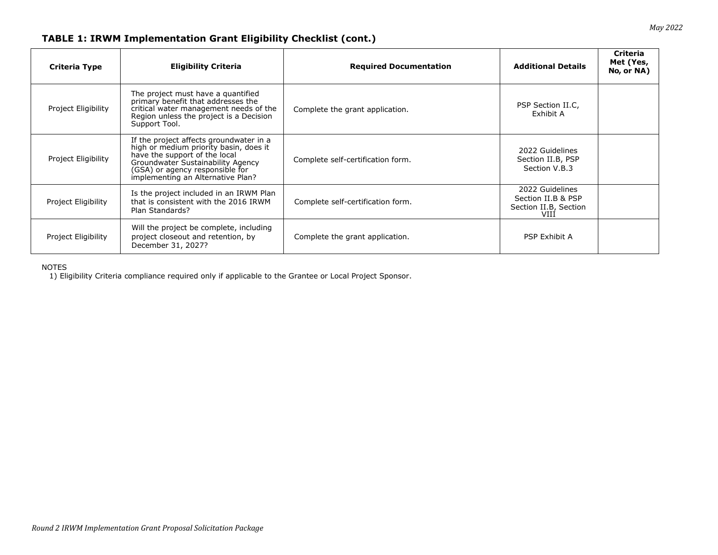| Criteria Type       | <b>Eligibility Criteria</b>                                                                                                                                                                                                     | <b>Required Documentation</b>     | <b>Additional Details</b>                                              | Criteria<br>Met (Yes,<br>No, or NA) |
|---------------------|---------------------------------------------------------------------------------------------------------------------------------------------------------------------------------------------------------------------------------|-----------------------------------|------------------------------------------------------------------------|-------------------------------------|
| Project Eligibility | The project must have a quantified<br>primary benefit that addresses the<br>critical water management needs of the<br>Region unless the project is a Decision<br>Support Tool.                                                  | Complete the grant application.   | PSP Section II.C,<br>Exhibit A                                         |                                     |
| Project Eligibility | If the project affects groundwater in a<br>high or medium priority basin, does it<br>have the support of the local<br>Groundwater Sustainability Agency<br>(GSA) or agency responsible for<br>implementing an Alternative Plan? | Complete self-certification form. | 2022 Guidelines<br>Section II.B, PSP<br>Section V.B.3                  |                                     |
| Project Eligibility | Is the project included in an IRWM Plan<br>that is consistent with the 2016 IRWM<br>Plan Standards?                                                                                                                             | Complete self-certification form. | 2022 Guidelines<br>Section II.B & PSP<br>Section II.B, Section<br>VIII |                                     |
| Project Eligibility | Will the project be complete, including<br>project closeout and retention, by<br>December 31, 2027?                                                                                                                             | Complete the grant application.   | PSP Exhibit A                                                          |                                     |

#### NOTES

1) Eligibility Criteria compliance required only if applicable to the Grantee or Local Project Sponsor.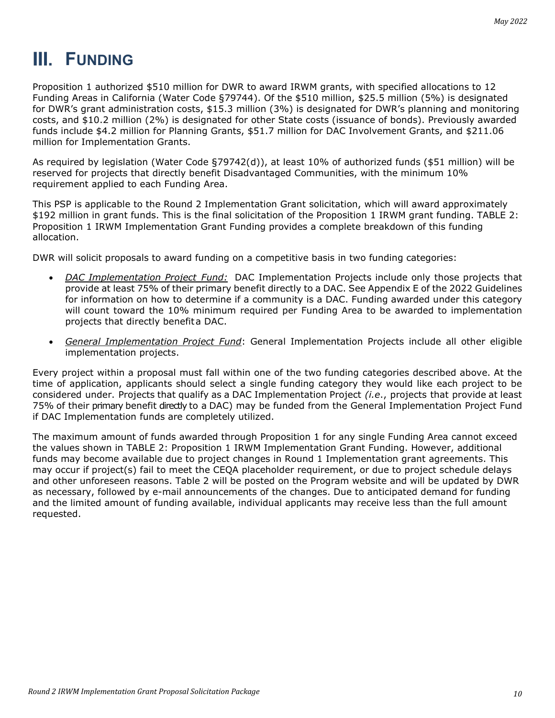## <span id="page-10-1"></span><span id="page-10-0"></span>**FUNDING**

Proposition 1 authorized \$510 million for DWR to award IRWM grants, with specified allocations to 12 Funding Areas in California (Water Code §79744). Of the \$510 million, \$25.5 million (5%) is designated for DWR's grant administration costs, \$15.3 million (3%) is designated for DWR's planning and monitoring costs, and \$10.2 million (2%) is designated for other State costs (issuance of bonds). Previously awarded funds include \$4.2 million for Planning Grants, \$51.7 million for DAC Involvement Grants, and \$211.06 million for Implementation Grants.

As required by legislation (Water Code §79742(d)), at least 10% of authorized funds (\$51 million) will be reserved for projects that directly benefit Disadvantaged Communities, with the minimum 10% requirement applied to each Funding Area.

This PSP is applicable to the Round 2 Implementation Grant solicitation, which will award approximately \$192 million in grant funds. This is the final solicitation of the Proposition 1 IRWM grant funding. [TABLE 2:](#page-11-0)  [Proposition 1 IRWM Implementation Grant Funding](#page-11-0) provides a complete breakdown of this funding allocation.

DWR will solicit proposals to award funding on a competitive basis in two funding categories:

- *DAC Implementation Project Fund:* DAC Implementation Projects include only those projects that provide at least 75% of their primary benefit directly to a DAC. See Appendix E of the 2022 Guidelines for information on how to determine if a community is a DAC. Funding awarded under this category will count toward the 10% minimum required per Funding Area to be awarded to implementation projects that directly benefita DAC.
- *General Implementation Project Fund*: General Implementation Projects include all other eligible implementation projects.

Every project within a proposal must fall within one of the two funding categories described above. At the time of application, applicants should select a single funding category they would like each project to be considered under. Projects that qualify as a DAC Implementation Project *(i.e*., projects that provide at least 75% of their primary benefit directly to a DAC) may be funded from the General Implementation Project Fund if DAC Implementation funds are completely utilized.

The maximum amount of funds awarded through Proposition 1 for any single Funding Area cannot exceed the values shown in [TABLE 2: Proposition 1 IRWM Implementation Grant Funding.](#page-11-0) However, additional funds may become available due to project changes in Round 1 Implementation grant agreements. This may occur if project(s) fail to meet the CEQA placeholder requirement, or due to project schedule delays and other unforeseen reasons. Table 2 will be posted on the Program website and will be updated by DWR as necessary, followed by e-mail announcements of the changes. Due to anticipated demand for funding and the limited amount of funding available, individual applicants may receive less than the full amount requested.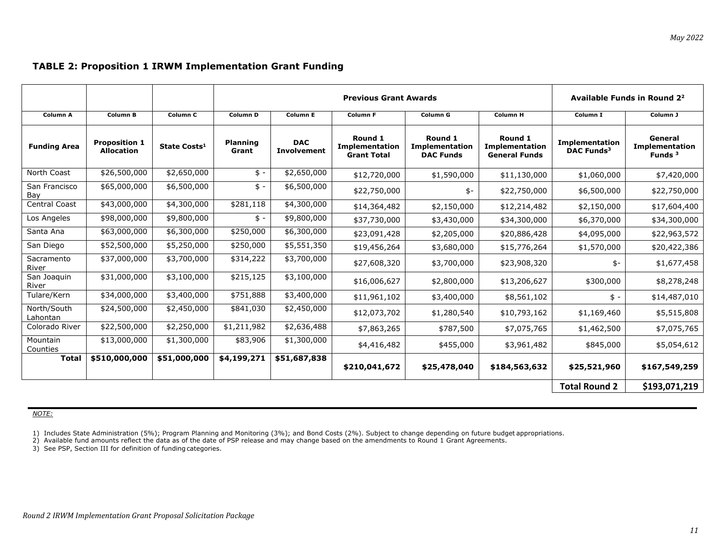#### **TABLE 2: Proposition 1 IRWM Implementation Grant Funding**

<span id="page-11-0"></span>

|                         |                                           |                          | <b>Previous Grant Awards</b> |                                  | Available Funds in Round $2^2$                         |                                                      |                                                          |                                          |                                                 |
|-------------------------|-------------------------------------------|--------------------------|------------------------------|----------------------------------|--------------------------------------------------------|------------------------------------------------------|----------------------------------------------------------|------------------------------------------|-------------------------------------------------|
| Column A                | <b>Column B</b>                           | Column <sub>C</sub>      | Column D                     | <b>Column E</b>                  | Column F                                               | Column G                                             | <b>Column H</b>                                          | Column I                                 | Column J                                        |
| <b>Funding Area</b>     | <b>Proposition 1</b><br><b>Allocation</b> | State Costs <sup>1</sup> | <b>Planning</b><br>Grant     | <b>DAC</b><br><b>Involvement</b> | Round 1<br><b>Implementation</b><br><b>Grant Total</b> | Round 1<br><b>Implementation</b><br><b>DAC Funds</b> | Round 1<br><b>Implementation</b><br><b>General Funds</b> | Implementation<br>DAC Funds <sup>3</sup> | General<br>Implementation<br>Funds <sup>3</sup> |
| North Coast             | \$26,500,000                              | \$2,650,000              | $\frac{1}{2}$ -              | \$2,650,000                      | \$12,720,000                                           | \$1,590,000                                          | \$11,130,000                                             | \$1,060,000                              | \$7,420,000                                     |
| San Francisco<br>Bav    | \$65,000,000                              | \$6,500,000              | $$ -$                        | \$6,500,000                      | \$22,750,000                                           | \$-                                                  | \$22,750,000                                             | \$6,500,000                              | \$22,750,000                                    |
| Central Coast           | \$43,000,000                              | \$4,300,000              | \$281,118                    | \$4,300,000                      | \$14,364,482                                           | \$2,150,000                                          | \$12,214,482                                             | \$2,150,000                              | \$17,604,400                                    |
| Los Angeles             | \$98,000,000                              | \$9,800,000              | $\frac{1}{2}$ -              | \$9,800,000                      | \$37,730,000                                           | \$3,430,000                                          | \$34,300,000                                             | \$6,370,000                              | \$34,300,000                                    |
| Santa Ana               | \$63,000,000                              | \$6,300,000              | \$250,000                    | \$6,300,000                      | \$23,091,428                                           | \$2,205,000                                          | \$20,886,428                                             | \$4,095,000                              | \$22,963,572                                    |
| San Diego               | \$52,500,000                              | \$5,250,000              | \$250,000                    | \$5,551,350                      | \$19,456,264                                           | \$3,680,000                                          | \$15,776,264                                             | \$1,570,000                              | \$20,422,386                                    |
| Sacramento<br>River     | \$37,000,000                              | \$3,700,000              | \$314,222                    | \$3,700,000                      | \$27,608,320                                           | \$3,700,000                                          | \$23,908,320                                             | \$-                                      | \$1,677,458                                     |
| San Joaquin<br>River    | \$31,000,000                              | \$3,100,000              | \$215,125                    | \$3,100,000                      | \$16,006,627                                           | \$2,800,000                                          | \$13,206,627                                             | \$300,000                                | \$8,278,248                                     |
| Tulare/Kern             | \$34,000,000                              | \$3,400,000              | \$751,888                    | \$3,400,000                      | \$11,961,102                                           | \$3,400,000                                          | \$8,561,102                                              | $$ -$                                    | \$14,487,010                                    |
| North/South<br>Lahontan | \$24,500,000                              | \$2,450,000              | \$841,030                    | \$2,450,000                      | \$12,073,702                                           | \$1,280,540                                          | \$10,793,162                                             | \$1,169,460                              | \$5,515,808                                     |
| Colorado River          | \$22,500,000                              | \$2,250,000              | \$1,211,982                  | \$2,636,488                      | \$7,863,265                                            | \$787,500                                            | \$7,075,765                                              | \$1,462,500                              | \$7,075,765                                     |
| Mountain<br>Counties    | \$13,000,000                              | \$1,300,000              | \$83,906                     | \$1,300,000                      | \$4,416,482                                            | \$455,000                                            | \$3,961,482                                              | \$845,000                                | \$5,054,612                                     |
| <b>Total</b>            | \$510,000,000                             | \$51,000,000             | \$4,199,271                  | \$51,687,838                     | \$210,041,672                                          | \$25,478,040                                         | \$184,563,632                                            | \$25,521,960                             | \$167,549,259                                   |
|                         |                                           |                          |                              |                                  |                                                        |                                                      |                                                          | <b>Total Round 2</b>                     | \$193,071,219                                   |

*NOTE:*

1) Includes State Administration (5%); Program Planning and Monitoring (3%); and Bond Costs (2%). Subject to change depending on future budget appropriations.

2) Available fund amounts reflect the data as of the date of PSP release and may change based on the amendments to Round 1 Grant Agreements.

3) See PSP, Section III for definition of funding categories.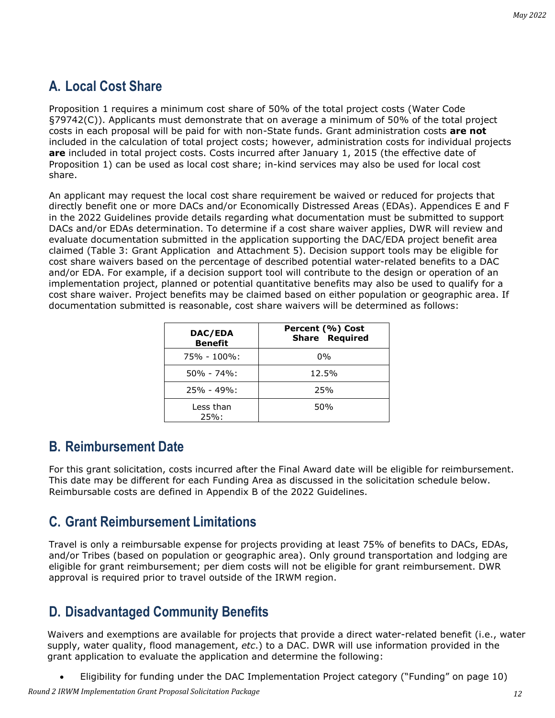## <span id="page-12-0"></span>**A. Local Cost Share**

Proposition 1 requires a minimum cost share of 50% of the total project costs (Water Code §79742(C)). Applicants must demonstrate that on average a minimum of 50% of the total project costs in each proposal will be paid for with non-State funds. Grant administration costs **are not** included in the calculation of total project costs; however, administration costs for individual projects **are** included in total project costs. Costs incurred after January 1, 2015 (the effective date of Proposition 1) can be used as local cost share; in-kind services may also be used for local cost share.

An applicant may request the local cost share requirement be waived or reduced for projects that directly benefit one or more DACs and/or Economically Distressed Areas (EDAs). Appendices E and F in the 2022 Guidelines provide details regarding what documentation must be submitted to support DACs and/or EDAs determination. To determine if a cost share waiver applies, DWR will review and evaluate documentation submitted in the application supporting the DAC/EDA project benefit area claimed [\(Table 3: Grant Application](#page-17-1) and Attachment 5). Decision support tools may be eligible for cost share waivers based on the percentage of described potential water-related benefits to a DAC and/or EDA. For example, if a decision support tool will contribute to the design or operation of an implementation project, planned or potential quantitative benefits may also be used to qualify for a cost share waiver. Project benefits may be claimed based on either population or geographic area. If documentation submitted is reasonable, cost share waivers will be determined as follows:

| DAC/EDA<br><b>Benefit</b> | Percent (%) Cost<br><b>Share Required</b> |
|---------------------------|-------------------------------------------|
| $75\% - 100\%$            | 0%                                        |
| $50\% - 74\%$ :           | 12.5%                                     |
| $25\% - 49\%$ :           | 25%                                       |
| Less than<br>$25%$ :      | 50%                                       |

## <span id="page-12-1"></span>**B. Reimbursement Date**

For this grant solicitation, costs incurred after the Final Award date will be eligible for reimbursement. This date may be different for each Funding Area as discussed in the solicitation schedule below. Reimbursable costs are defined in Appendix B of the 2022 Guidelines.

## <span id="page-12-2"></span>**C. Grant Reimbursement Limitations**

Travel is only a reimbursable expense for projects providing at least 75% of benefits to DACs, EDAs, and/or Tribes (based on population or geographic area). Only ground transportation and lodging are eligible for grant reimbursement; per diem costs will not be eligible for grant reimbursement. DWR approval is required prior to travel outside of the IRWM region.

## <span id="page-12-3"></span>**D. Disadvantaged Community Benefits**

Waivers and exemptions are available for projects that provide a direct water-related benefit (i.e., water supply, water quality, flood management, *etc*.) to a DAC. DWR will use information provided in the grant application to evaluate the application and determine the following:

• Eligibility for funding under the DAC Implementation Project category ("Funding" on page [10\)](#page-10-0)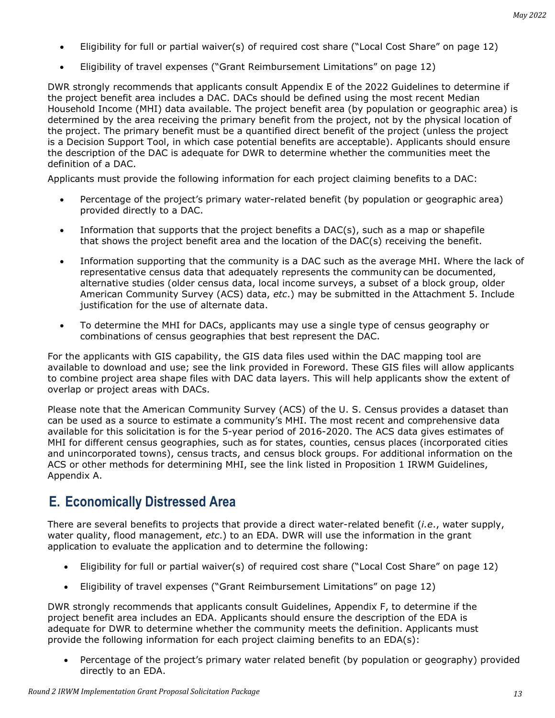- Eligibility for full or partial waiver(s) of required cost share ("Local Cost Share" on page [12\)](#page-12-0)
- Eligibility of travel expenses ("Grant Reimbursement Limitations" on page [12\)](#page-12-2)

DWR strongly recommends that applicants consult Appendix E of the 2022 Guidelines to determine if the project benefit area includes a DAC. DACs should be defined using the most recent Median Household Income (MHI) data available. The project benefit area (by population or geographic area) is determined by the area receiving the primary benefit from the project, not by the physical location of the project. The primary benefit must be a quantified direct benefit of the project (unless the project is a Decision Support Tool, in which case potential benefits are acceptable). Applicants should ensure the description of the DAC is adequate for DWR to determine whether the communities meet the definition of a DAC.

Applicants must provide the following information for each project claiming benefits to a DAC:

- Percentage of the project's primary water-related benefit (by population or geographic area) provided directly to a DAC.
- Information that supports that the project benefits a DAC(s), such as a map or shapefile that shows the project benefit area and the location of the DAC(s) receiving the benefit.
- Information supporting that the community is a DAC such as the average MHI. Where the lack of representative census data that adequately represents the community can be documented, alternative studies (older census data, local income surveys, a subset of a block group, older American Community Survey (ACS) data, *etc*.) may be submitted in the Attachment 5. Include justification for the use of alternate data.
- To determine the MHI for DACs, applicants may use a single type of census geography or combinations of census geographies that best represent the DAC.

For the applicants with GIS capability, the GIS data files used within the DAC mapping tool are available to download and use; see the link provided in Foreword. These GIS files will allow applicants to combine project area shape files with DAC data layers. This will help applicants show the extent of overlap or project areas with DACs.

Please note that the American Community Survey (ACS) of the U. S. Census provides a dataset than can be used as a source to estimate a community's MHI. The most recent and comprehensive data available for this solicitation is for the 5-year period of 2016-2020. The ACS data gives estimates of MHI for different census geographies, such as for states, counties, census places (incorporated cities and unincorporated towns), census tracts, and census block groups. For additional information on the ACS or other methods for determining MHI, see the link listed in Proposition 1 IRWM Guidelines, Appendix A.

## <span id="page-13-0"></span>**E. Economically Distressed Area**

There are several benefits to projects that provide a direct water-related benefit (*i.e*., water supply, water quality, flood management, *etc*.) to an EDA. DWR will use the information in the grant application to evaluate the application and to determine the following:

- Eligibility for full or partial waiver(s) of required cost share ("Local Cost Share" on page 12)
- Eligibility of travel expenses ("Grant Reimbursement Limitations" on page 12)

DWR strongly recommends that applicants consult Guidelines, Appendix F, to determine if the project benefit area includes an EDA. Applicants should ensure the description of the EDA is adequate for DWR to determine whether the community meets the definition. Applicants must provide the following information for each project claiming benefits to an EDA(s):

• Percentage of the project's primary water related benefit (by population or geography) provided directly to an EDA.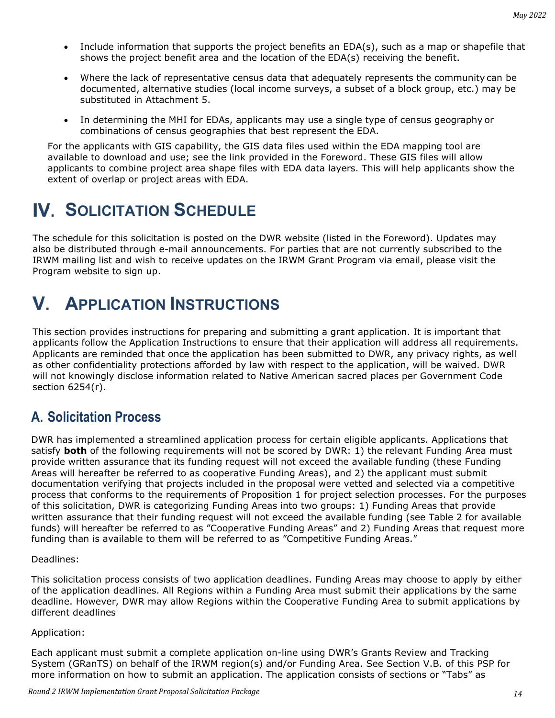- Include information that supports the project benefits an EDA(s), such as a map or shapefile that shows the project benefit area and the location of the EDA(s) receiving the benefit.
- Where the lack of representative census data that adequately represents the community can be documented, alternative studies (local income surveys, a subset of a block group, etc.) may be substituted in Attachment 5.
- In determining the MHI for EDAs, applicants may use a single type of census geography or combinations of census geographies that best represent the EDA.

For the applicants with GIS capability, the GIS data files used within the EDA mapping tool are available to download and use; see the link provided in the Foreword. These GIS files will allow applicants to combine project area shape files with EDA data layers. This will help applicants show the extent of overlap or project areas with EDA.

## <span id="page-14-0"></span>**IV. SOLICITATION SCHEDULE**

The schedule for this solicitation is posted on the DWR website (listed in the Foreword). Updates may also be distributed through e-mail announcements. For parties that are not currently subscribed to the IRWM mailing list and wish to receive updates on the IRWM Grant Program via email, please visit the Program website to sign up.

## <span id="page-14-1"></span>**APPLICATION INSTRUCTIONS**

This section provides instructions for preparing and submitting a grant application. It is important that applicants follow the Application Instructions to ensure that their application will address all requirements. Applicants are reminded that once the application has been submitted to DWR, any privacy rights, as well as other confidentiality protections afforded by law with respect to the application, will be waived. DWR will not knowingly disclose information related to Native American sacred places per Government Code section 6254(r).

## <span id="page-14-2"></span>**A. Solicitation Process**

DWR has implemented a streamlined application process for certain eligible applicants. Applications that satisfy **both** of the following requirements will not be scored by DWR: 1) the relevant Funding Area must provide written assurance that its funding request will not exceed the available funding (these Funding Areas will hereafter be referred to as cooperative Funding Areas), and 2) the applicant must submit documentation verifying that projects included in the proposal were vetted and selected via a competitive process that conforms to the requirements of Proposition 1 for project selection processes. For the purposes of this solicitation, DWR is categorizing Funding Areas into two groups: 1) Funding Areas that provide written assurance that their funding request will not exceed the available funding (see Table 2 for available funds) will hereafter be referred to as "Cooperative Funding Areas" and 2) Funding Areas that request more funding than is available to them will be referred to as "Competitive Funding Areas."

#### Deadlines:

This solicitation process consists of two application deadlines. Funding Areas may choose to apply by either of the application deadlines. All Regions within a Funding Area must submit their applications by the same deadline. However, DWR may allow Regions within the Cooperative Funding Area to submit applications by different deadlines

#### Application:

Each applicant must submit a complete application on-line using DWR's Grants Review and Tracking System (GRanTS) on behalf of the IRWM region(s) and/or Funding Area. See Section V.B. of this PSP for more information on how to submit an application. The application consists of sections or "Tabs" as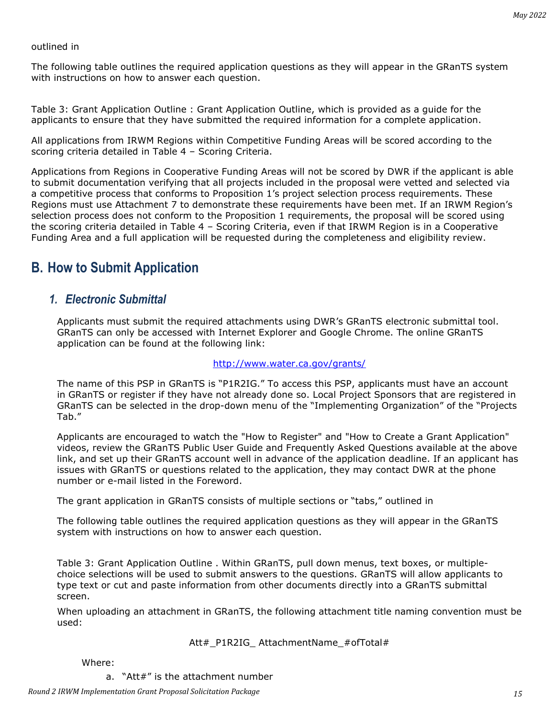#### outlined in

[The following table outlines the required application questions as they will appear in the GRanTS system](#page-17-2) [with instructions on how to answer each question.](#page-17-2) 

[Table 3: Grant Application](#page-17-2) Outline : Grant Application Outline, which is provided as a guide for the applicants to ensure that they have submitted the required information for a complete application.

All applications from IRWM Regions within Competitive Funding Areas will be scored according to the scoring criteria detailed in Table 4 – Scoring Criteria.

Applications from Regions in Cooperative Funding Areas will not be scored by DWR if the applicant is able to submit documentation verifying that all projects included in the proposal were vetted and selected via a competitive process that conforms to Proposition 1's project selection process requirements. These Regions must use Attachment 7 to demonstrate these requirements have been met. If an IRWM Region's selection process does not conform to the Proposition 1 requirements, the proposal will be scored using the scoring criteria detailed in Table 4 – Scoring Criteria, even if that IRWM Region is in a Cooperative Funding Area and a full application will be requested during the completeness and eligibility review.

## <span id="page-15-0"></span>**B. How to Submit Application**

#### <span id="page-15-1"></span>*1. Electronic Submittal*

Applicants must submit the required attachments using DWR's GRanTS electronic submittal tool. GRanTS can only be accessed with Internet Explorer and Google Chrome. The online GRanTS application can be found at the following link:

#### <http://www.water.ca.gov/grants/>

The name of this PSP in GRanTS is "P1R2IG." To access this PSP, applicants must have an account in GRanTS or register if they have not already done so. Local Project Sponsors that are registered in GRanTS can be selected in the drop-down menu of the "Implementing Organization" of the "Projects Tab."

Applicants are encouraged to watch the "How to Register" and "How to Create a Grant Application" videos, review the GRanTS Public User Guide and Frequently Asked Questions available at the above link, and set up their GRanTS account well in advance of the application deadline. If an applicant has issues with GRanTS or questions related to the application, they may contact DWR at the phone number or e-mail listed in the Foreword.

The grant application in GRanTS consists of multiple sections or "tabs," outlined in

[The following table outlines the required application questions as they will appear in the GRanTS](#page-17-2)  system [with instructions on how to answer each question.](#page-17-2) 

[Table 3: Grant Application](#page-17-2) Outline . Within GRanTS, pull down menus, text boxes, or multiplechoice selections will be used to submit answers to the questions. GRanTS will allow applicants to type text or cut and paste information from other documents directly into a GRanTS submittal screen.

<span id="page-15-2"></span>When uploading an attachment in GRanTS, the following attachment title naming convention must be used:

Att#\_P1R2IG\_ AttachmentName\_#ofTotal#

Where:

a. "Att#" is the attachment number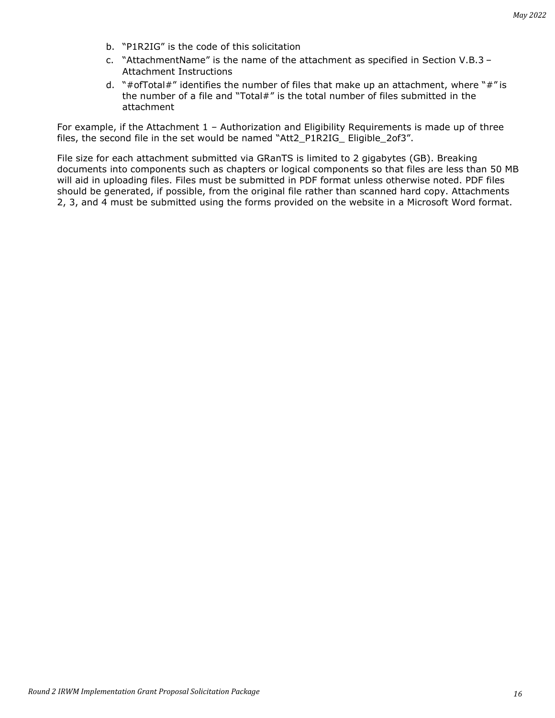- b. "P1R2IG" is the code of this solicitation
- c. "AttachmentName" is the name of the attachment as specified in Section V.B.3 Attachment Instructions
- d. "#ofTotal#" identifies the number of files that make up an attachment, where " $\#$ " is the number of a file and "Total#" is the total number of files submitted in the attachment

For example, if the Attachment 1 – Authorization and Eligibility Requirements is made up of three files, the second file in the set would be named "Att2\_P1R2IG\_ Eligible\_2of3".

File size for each attachment submitted via GRanTS is limited to 2 gigabytes (GB). Breaking documents into components such as chapters or logical components so that files are less than 50 MB will aid in uploading files. Files must be submitted in PDF format unless otherwise noted. PDF files should be generated, if possible, from the original file rather than scanned hard copy. Attachments 2, 3, and 4 must be submitted using the forms provided on the website in a Microsoft Word format.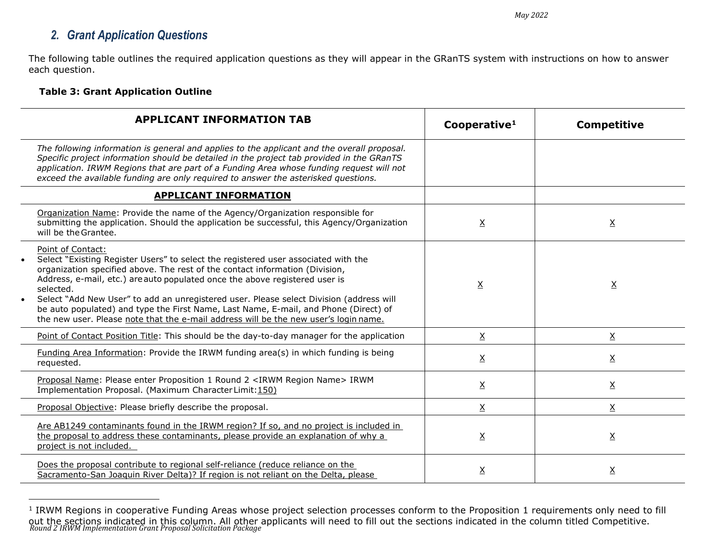### <span id="page-17-3"></span>*2. Grant Application Questions*

The following table outlines the required application questions as they will appear in the GRanTS system with instructions on how to answer each question.

#### **Table 3: Grant Application Outline**

<span id="page-17-2"></span><span id="page-17-1"></span><span id="page-17-0"></span>

| <b>APPLICANT INFORMATION TAB</b>                                                                                                                                                                                                                                                                                                                                                                                                                                                                                                                               | Cooperative <sup>1</sup> | <b>Competitive</b> |
|----------------------------------------------------------------------------------------------------------------------------------------------------------------------------------------------------------------------------------------------------------------------------------------------------------------------------------------------------------------------------------------------------------------------------------------------------------------------------------------------------------------------------------------------------------------|--------------------------|--------------------|
| The following information is general and applies to the applicant and the overall proposal.<br>Specific project information should be detailed in the project tab provided in the GRanTS<br>application. IRWM Regions that are part of a Funding Area whose funding request will not<br>exceed the available funding are only required to answer the asterisked questions.                                                                                                                                                                                     |                          |                    |
| <b>APPLICANT INFORMATION</b>                                                                                                                                                                                                                                                                                                                                                                                                                                                                                                                                   |                          |                    |
| Organization Name: Provide the name of the Agency/Organization responsible for<br>submitting the application. Should the application be successful, this Agency/Organization<br>will be the Grantee.                                                                                                                                                                                                                                                                                                                                                           | $\underline{X}$          | $\underline{X}$    |
| Point of Contact:<br>Select "Existing Register Users" to select the registered user associated with the<br>organization specified above. The rest of the contact information (Division,<br>Address, e-mail, etc.) are auto populated once the above registered user is<br>selected.<br>Select "Add New User" to add an unregistered user. Please select Division (address will<br>be auto populated) and type the First Name, Last Name, E-mail, and Phone (Direct) of<br>the new user. Please note that the e-mail address will be the new user's login name. | $\underline{X}$          | $\underline{X}$    |
| Point of Contact Position Title: This should be the day-to-day manager for the application                                                                                                                                                                                                                                                                                                                                                                                                                                                                     | $\underline{X}$          | <u>X</u>           |
| Funding Area Information: Provide the IRWM funding area(s) in which funding is being<br>requested.                                                                                                                                                                                                                                                                                                                                                                                                                                                             | $\underline{X}$          | $\underline{X}$    |
| Proposal Name: Please enter Proposition 1 Round 2 < IRWM Region Name> IRWM<br>Implementation Proposal. (Maximum Character Limit: 150)                                                                                                                                                                                                                                                                                                                                                                                                                          | $\underline{X}$          | $\underline{X}$    |
| Proposal Objective: Please briefly describe the proposal.                                                                                                                                                                                                                                                                                                                                                                                                                                                                                                      | $\underline{X}$          | $\underline{X}$    |
| Are AB1249 contaminants found in the IRWM region? If so, and no project is included in<br>the proposal to address these contaminants, please provide an explanation of why a<br>project is not included.                                                                                                                                                                                                                                                                                                                                                       | $\overline{X}$           | $\underline{X}$    |
| Does the proposal contribute to regional self-reliance (reduce reliance on the<br>Sacramento-San Joaquin River Delta)? If region is not reliant on the Delta, please                                                                                                                                                                                                                                                                                                                                                                                           | $\underline{x}$          | $\underline{X}$    |

out the sections indicated in this column. All other applicants will need to fill out the sections indicated in the column titled Competitive.<br>Round 2 IRWM Implementation Grant Proposal Solicitation Package <sup>1</sup> IRWM Regions in cooperative Funding Areas whose project selection processes conform to the Proposition 1 requirements only need to fill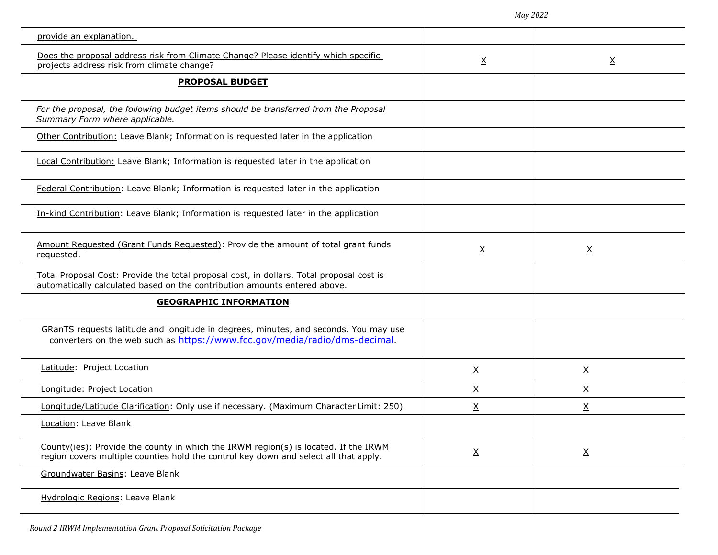*May 2022*

| provide an explanation.                                                                                                                                                     |                          |                 |
|-----------------------------------------------------------------------------------------------------------------------------------------------------------------------------|--------------------------|-----------------|
| Does the proposal address risk from Climate Change? Please identify which specific<br>projects address risk from climate change?                                            | <u>X</u>                 | <u>X</u>        |
| <b>PROPOSAL BUDGET</b>                                                                                                                                                      |                          |                 |
| For the proposal, the following budget items should be transferred from the Proposal<br>Summary Form where applicable.                                                      |                          |                 |
| Other Contribution: Leave Blank; Information is requested later in the application                                                                                          |                          |                 |
| <b>Local Contribution:</b> Leave Blank; Information is requested later in the application                                                                                   |                          |                 |
| <b>Federal Contribution: Leave Blank; Information is requested later in the application</b>                                                                                 |                          |                 |
| In-kind Contribution: Leave Blank; Information is requested later in the application                                                                                        |                          |                 |
| Amount Requested (Grant Funds Requested): Provide the amount of total grant funds<br>requested.                                                                             | $\overline{\mathsf{X}}$  | $\overline{X}$  |
| Total Proposal Cost: Provide the total proposal cost, in dollars. Total proposal cost is<br>automatically calculated based on the contribution amounts entered above.       |                          |                 |
| <b>GEOGRAPHIC INFORMATION</b>                                                                                                                                               |                          |                 |
| GRanTS requests latitude and longitude in degrees, minutes, and seconds. You may use<br>converters on the web such as https://www.fcc.gov/media/radio/dms-decimal.          |                          |                 |
| Latitude: Project Location                                                                                                                                                  | $\overline{X}$           | <u>X</u>        |
| Longitude: Project Location                                                                                                                                                 | $\underline{X}$          | $\underline{X}$ |
| Longitude/Latitude Clarification: Only use if necessary. (Maximum Character Limit: 250)                                                                                     | $\underline{X}$          | <u>x</u>        |
| Location: Leave Blank                                                                                                                                                       |                          |                 |
| County(ies): Provide the county in which the IRWM region(s) is located. If the IRWM<br>region covers multiple counties hold the control key down and select all that apply. | $\underline{\mathsf{X}}$ | <u>X</u>        |
| Groundwater Basins: Leave Blank                                                                                                                                             |                          |                 |
| Hydrologic Regions: Leave Blank                                                                                                                                             |                          |                 |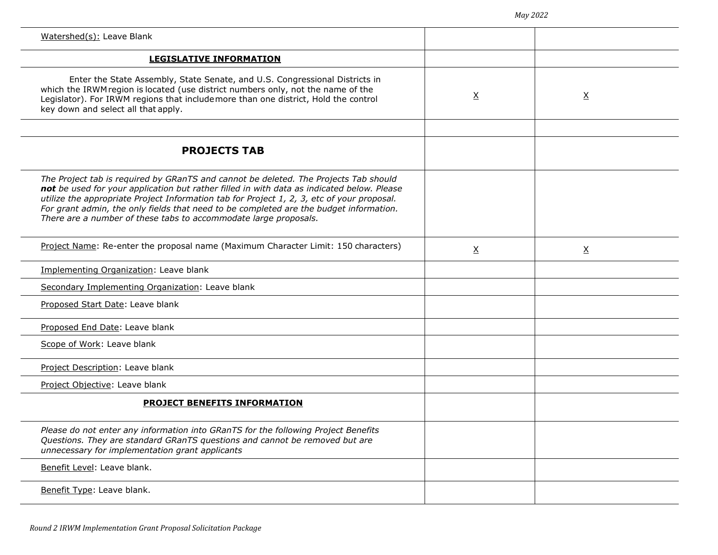| Watershed(s): Leave Blank                                                                                                                                                                                                                                                                                                                                                                                                                      |                 |                 |
|------------------------------------------------------------------------------------------------------------------------------------------------------------------------------------------------------------------------------------------------------------------------------------------------------------------------------------------------------------------------------------------------------------------------------------------------|-----------------|-----------------|
| <b>LEGISLATIVE INFORMATION</b>                                                                                                                                                                                                                                                                                                                                                                                                                 |                 |                 |
| Enter the State Assembly, State Senate, and U.S. Congressional Districts in<br>which the IRWM region is located (use district numbers only, not the name of the<br>Legislator). For IRWM regions that includemore than one district, Hold the control<br>key down and select all that apply.                                                                                                                                                   | $\underline{X}$ | $\underline{X}$ |
|                                                                                                                                                                                                                                                                                                                                                                                                                                                |                 |                 |
| <b>PROJECTS TAB</b>                                                                                                                                                                                                                                                                                                                                                                                                                            |                 |                 |
| The Project tab is required by GRanTS and cannot be deleted. The Projects Tab should<br>not be used for your application but rather filled in with data as indicated below. Please<br>utilize the appropriate Project Information tab for Project 1, 2, 3, etc of your proposal.<br>For grant admin, the only fields that need to be completed are the budget information.<br>There are a number of these tabs to accommodate large proposals. |                 |                 |
| Project Name: Re-enter the proposal name (Maximum Character Limit: 150 characters)                                                                                                                                                                                                                                                                                                                                                             | $\underline{X}$ | <u>X</u>        |
| Implementing Organization: Leave blank                                                                                                                                                                                                                                                                                                                                                                                                         |                 |                 |
| Secondary Implementing Organization: Leave blank                                                                                                                                                                                                                                                                                                                                                                                               |                 |                 |
| Proposed Start Date: Leave blank                                                                                                                                                                                                                                                                                                                                                                                                               |                 |                 |
| Proposed End Date: Leave blank                                                                                                                                                                                                                                                                                                                                                                                                                 |                 |                 |
| Scope of Work: Leave blank                                                                                                                                                                                                                                                                                                                                                                                                                     |                 |                 |
| Project Description: Leave blank                                                                                                                                                                                                                                                                                                                                                                                                               |                 |                 |
| Project Objective: Leave blank                                                                                                                                                                                                                                                                                                                                                                                                                 |                 |                 |
| <b>PROJECT BENEFITS INFORMATION</b>                                                                                                                                                                                                                                                                                                                                                                                                            |                 |                 |
| Please do not enter any information into GRanTS for the following Project Benefits<br>Questions. They are standard GRanTS questions and cannot be removed but are<br>unnecessary for implementation grant applicants                                                                                                                                                                                                                           |                 |                 |
| Benefit Level: Leave blank.                                                                                                                                                                                                                                                                                                                                                                                                                    |                 |                 |
| Benefit Type: Leave blank.                                                                                                                                                                                                                                                                                                                                                                                                                     |                 |                 |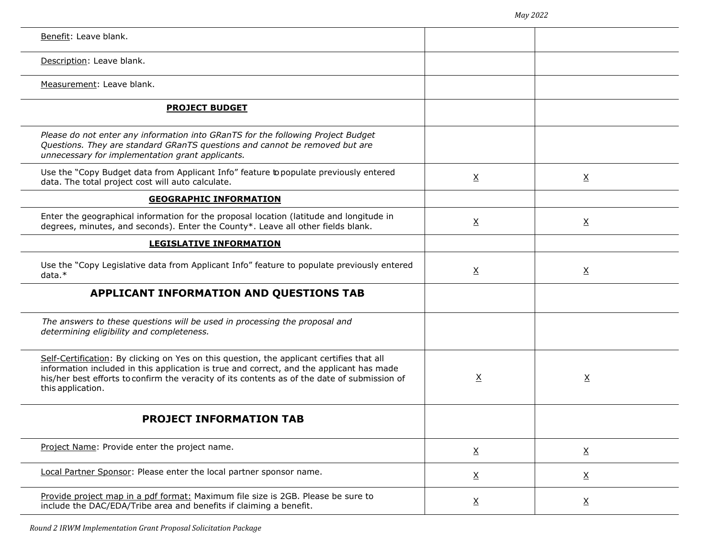| Benefit: Leave blank.                                                                                                                                                                                                                                                                                      |                 |                 |
|------------------------------------------------------------------------------------------------------------------------------------------------------------------------------------------------------------------------------------------------------------------------------------------------------------|-----------------|-----------------|
| Description: Leave blank.                                                                                                                                                                                                                                                                                  |                 |                 |
| Measurement: Leave blank.                                                                                                                                                                                                                                                                                  |                 |                 |
| <b>PROJECT BUDGET</b>                                                                                                                                                                                                                                                                                      |                 |                 |
| Please do not enter any information into GRanTS for the following Project Budget<br>Questions. They are standard GRanTS questions and cannot be removed but are<br>unnecessary for implementation grant applicants.                                                                                        |                 |                 |
| Use the "Copy Budget data from Applicant Info" feature to populate previously entered<br>data. The total project cost will auto calculate.                                                                                                                                                                 | $\underline{x}$ | <u>X</u>        |
| <b>GEOGRAPHIC INFORMATION</b>                                                                                                                                                                                                                                                                              |                 |                 |
| Enter the geographical information for the proposal location (latitude and longitude in<br>degrees, minutes, and seconds). Enter the County*. Leave all other fields blank.                                                                                                                                | $\times$        | <u>x</u>        |
| <b>LEGISLATIVE INFORMATION</b>                                                                                                                                                                                                                                                                             |                 |                 |
| Use the "Copy Legislative data from Applicant Info" feature to populate previously entered<br>$data.*$                                                                                                                                                                                                     | $\times$        | <u>x</u>        |
| APPLICANT INFORMATION AND QUESTIONS TAB                                                                                                                                                                                                                                                                    |                 |                 |
| The answers to these questions will be used in processing the proposal and<br>determining eligibility and completeness.                                                                                                                                                                                    |                 |                 |
| Self-Certification: By clicking on Yes on this question, the applicant certifies that all<br>information included in this application is true and correct, and the applicant has made<br>his/her best efforts to confirm the veracity of its contents as of the date of submission of<br>this application. | $\times$        | $\underline{x}$ |
| <b>PROJECT INFORMATION TAB</b>                                                                                                                                                                                                                                                                             |                 |                 |
| Project Name: Provide enter the project name.                                                                                                                                                                                                                                                              | $\underline{X}$ | <u>X</u>        |
| Local Partner Sponsor: Please enter the local partner sponsor name.                                                                                                                                                                                                                                        | $\underline{X}$ | <u>X</u>        |
| Provide project map in a pdf format: Maximum file size is 2GB. Please be sure to<br>include the DAC/EDA/Tribe area and benefits if claiming a benefit.                                                                                                                                                     | $\underline{X}$ | $\underline{X}$ |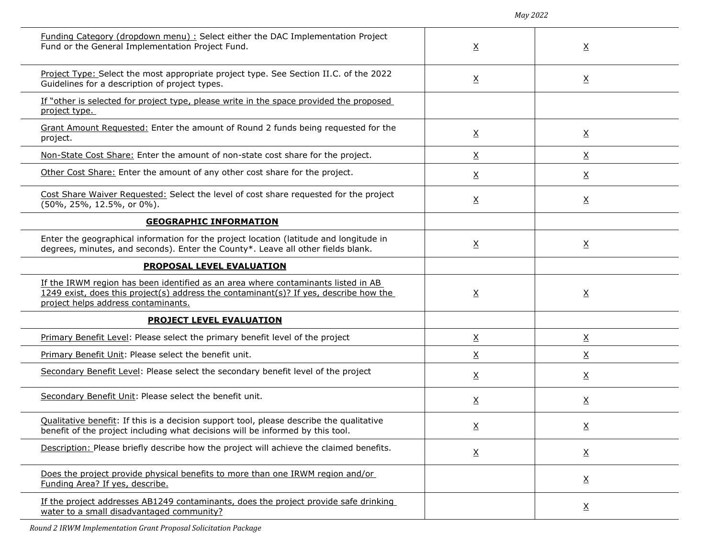| <b>Funding Category (dropdown menu) : Select either the DAC Implementation Project</b><br>Fund or the General Implementation Project Fund.                                                                        | $\underline{X}$ | <u>X</u>        |
|-------------------------------------------------------------------------------------------------------------------------------------------------------------------------------------------------------------------|-----------------|-----------------|
| Project Type: Select the most appropriate project type. See Section II.C. of the 2022<br>Guidelines for a description of project types.                                                                           | $\underline{x}$ | <u>X</u>        |
| If "other is selected for project type, please write in the space provided the proposed<br>project type.                                                                                                          |                 |                 |
| Grant Amount Requested: Enter the amount of Round 2 funds being requested for the<br>project.                                                                                                                     | $\underline{x}$ | X               |
| Non-State Cost Share: Enter the amount of non-state cost share for the project.                                                                                                                                   | <u>x</u>        | <u>x</u>        |
| Other Cost Share: Enter the amount of any other cost share for the project.                                                                                                                                       | $\underline{x}$ | <u>X</u>        |
| Cost Share Waiver Requested: Select the level of cost share requested for the project<br>(50%, 25%, 12.5%, or 0%).                                                                                                | $\underline{X}$ | <u>x</u>        |
| <b>GEOGRAPHIC INFORMATION</b>                                                                                                                                                                                     |                 |                 |
| Enter the geographical information for the project location (latitude and longitude in<br>degrees, minutes, and seconds). Enter the County*. Leave all other fields blank.                                        | $\underline{x}$ | $\underline{x}$ |
| <b>PROPOSAL LEVEL EVALUATION</b>                                                                                                                                                                                  |                 |                 |
| If the IRWM region has been identified as an area where contaminants listed in AB<br>1249 exist, does this project(s) address the contaminant(s)? If yes, describe how the<br>project helps address contaminants. | $\underline{X}$ | <u>X</u>        |
| <b>PROJECT LEVEL EVALUATION</b>                                                                                                                                                                                   |                 |                 |
| Primary Benefit Level: Please select the primary benefit level of the project                                                                                                                                     | $\underline{X}$ | <u>X</u>        |
| Primary Benefit Unit: Please select the benefit unit.                                                                                                                                                             | $\underline{x}$ | <u>X</u>        |
| Secondary Benefit Level: Please select the secondary benefit level of the project                                                                                                                                 | $\underline{x}$ | <u>X</u>        |
| Secondary Benefit Unit: Please select the benefit unit.                                                                                                                                                           | $\underline{X}$ | <u>X</u>        |
| Qualitative benefit: If this is a decision support tool, please describe the qualitative<br>benefit of the project including what decisions will be informed by this tool.                                        | $\underline{x}$ | X               |
| Description: Please briefly describe how the project will achieve the claimed benefits.                                                                                                                           | $\underline{X}$ | <u>X</u>        |
| Does the project provide physical benefits to more than one IRWM region and/or<br>Funding Area? If yes, describe.                                                                                                 |                 | <u>X</u>        |
| If the project addresses AB1249 contaminants, does the project provide safe drinking<br>water to a small disadvantaged community?                                                                                 |                 | <u>X</u>        |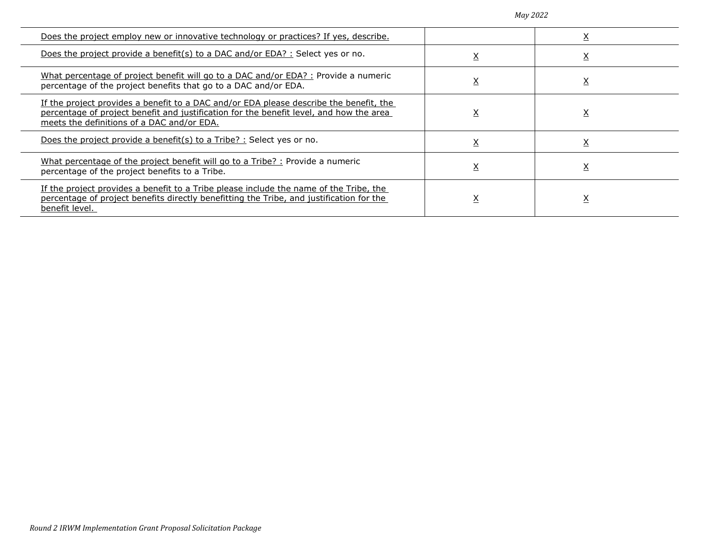*May 2022*

| Does the project employ new or innovative technology or practices? If yes, describe.                                                                                                                                            |   |   |
|---------------------------------------------------------------------------------------------------------------------------------------------------------------------------------------------------------------------------------|---|---|
| Does the project provide a benefit(s) to a DAC and/or EDA? : Select yes or no.                                                                                                                                                  | ⋏ | ⋏ |
| What percentage of project benefit will go to a DAC and/or EDA? : Provide a numeric<br>percentage of the project benefits that go to a DAC and/or EDA.                                                                          | х | ⋏ |
| If the project provides a benefit to a DAC and/or EDA please describe the benefit, the<br>percentage of project benefit and justification for the benefit level, and how the area<br>meets the definitions of a DAC and/or EDA. | л | ⋏ |
| Does the project provide a benefit(s) to a Tribe? : Select yes or no.                                                                                                                                                           | ∧ |   |
| What percentage of the project benefit will go to a Tribe? : Provide a numeric<br>percentage of the project benefits to a Tribe.                                                                                                | ∧ |   |
| If the project provides a benefit to a Tribe please include the name of the Tribe, the<br>percentage of project benefits directly benefitting the Tribe, and justification for the<br>benefit level.                            |   | ⌒ |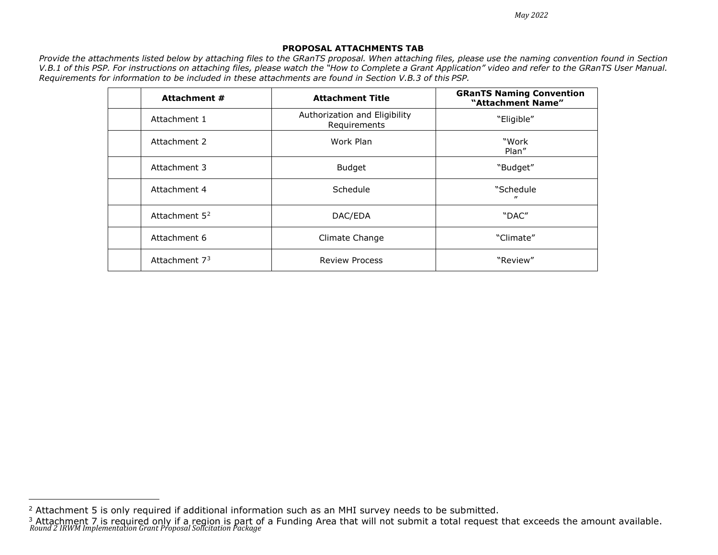#### <span id="page-23-1"></span><span id="page-23-0"></span>**PROPOSAL ATTACHMENTS TAB**

Provide the attachments listed below by attaching files to the GRanTS proposal. When attaching files, please use the naming convention found in Section *V.B.1 of this PSP. For instructions on attaching files, please watch the "How to Complete a Grant Application" video and refer to the GRanTS User Manual. Requirements for information to be included in these attachments are found in Section V.B.3 of this PSP.*

| Attachment #    | <b>Attachment Title</b>                       | <b>GRanTS Naming Convention</b><br>"Attachment Name" |
|-----------------|-----------------------------------------------|------------------------------------------------------|
| Attachment 1    | Authorization and Eligibility<br>Requirements | "Eligible"                                           |
| Attachment 2    | Work Plan                                     | "Work<br>Plan"                                       |
| Attachment 3    | <b>Budget</b>                                 | "Budget"                                             |
| Attachment 4    | Schedule                                      | "Schedule<br>$^{\prime\prime}$                       |
| Attachment $52$ | DAC/EDA                                       | "DAC"                                                |
| Attachment 6    | Climate Change                                | "Climate"                                            |
| Attachment $73$ | <b>Review Process</b>                         | "Review"                                             |

 $2$  Attachment 5 is only required if additional information such as an MHI survey needs to be submitted.

*Round 2 IRWM Implementation Grant Proposal Solicitation Package* <sup>3</sup> Attachment 7 is required only if a region is part of a Funding Area that will not submit a total request that exceeds the amount available.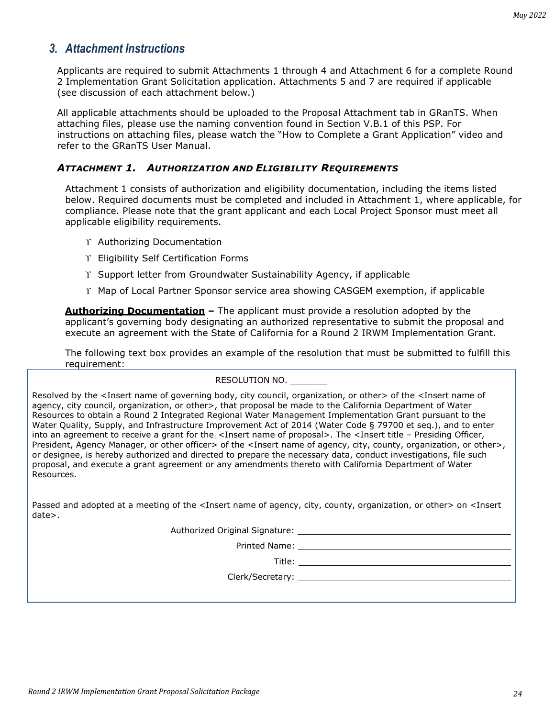### <span id="page-24-0"></span>*3. Attachment Instructions*

Applicants are required to submit Attachments 1 through 4 and Attachment 6 for a complete Round 2 Implementation Grant Solicitation application. Attachments 5 and 7 are required if applicable (see discussion of each attachment below.)

All applicable attachments should be uploaded to the Proposal Attachment tab in GRanTS. When attaching files, please use the naming convention found in Section V.B.1 of this PSP. For instructions on attaching files, please watch the "How to Complete a Grant Application" video and refer to the GRanTS User Manual.

#### *ATTACHMENT 1. AUTHORIZATION AND ELIGIBILITY REQUIREMENTS*

Attachment 1 consists of authorization and eligibility documentation, including the items listed below. Required documents must be completed and included in Attachment 1, where applicable, for compliance. Please note that the grant applicant and each Local Project Sponsor must meet all applicable eligibility requirements.

- ϒ Authorizing Documentation
- ϒ Eligibility Self Certification Forms
- ϒ Support letter from Groundwater Sustainability Agency, if applicable
- ϒ Map of Local Partner Sponsor service area showing CASGEM exemption, if applicable

**Authorizing Documentation –** The applicant must provide a resolution adopted by the applicant's governing body designating an authorized representative to submit the proposal and execute an agreement with the State of California for a Round 2 IRWM Implementation Grant.

The following text box provides an example of the resolution that must be submitted to fulfill this requirement:

RESOLUTION NO.

Resolved by the <Insert name of governing body, city council, organization, or other> of the <Insert name of agency, city council, organization, or other>, that proposal be made to the California Department of Water Resources to obtain a Round 2 Integrated Regional Water Management Implementation Grant pursuant to the Water Quality, Supply, and Infrastructure Improvement Act of 2014 (Water Code § 79700 et seq.), and to enter into an agreement to receive a grant for the <Insert name of proposal>. The <Insert title - Presiding Officer, President, Agency Manager, or other officer> of the <Insert name of agency, city, county, organization, or other>, or designee, is hereby authorized and directed to prepare the necessary data, conduct investigations, file such proposal, and execute a grant agreement or any amendments thereto with California Department of Water Resources.

Passed and adopted at a meeting of the <Insert name of agency, city, county, organization, or other> on <Insert date>.

Authorized Original Signature:

Printed Name: The Contract of the Contract of the Contract of the Contract of the Contract of the Contract of the Contract of the Contract of the Contract of the Contract of the Contract of the Contract of the Contract of

Title:

Clerk/Secretary: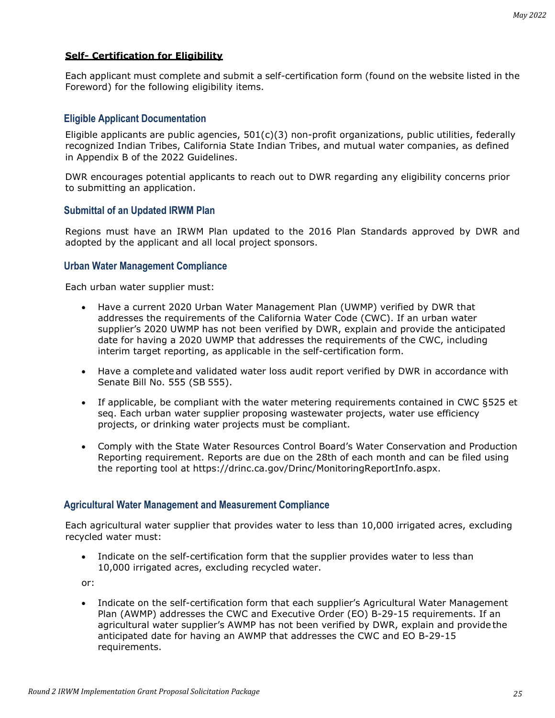#### **Self- Certification for Eligibility**

Each applicant must complete and submit a self-certification form (found on the website listed in the Foreword) for the following eligibility items.

#### **Eligible Applicant Documentation**

Eligible applicants are public agencies, 501(c)(3) non-profit organizations, public utilities, federally recognized Indian Tribes, California State Indian Tribes, and mutual water companies, as defined in Appendix B of the 2022 Guidelines.

DWR encourages potential applicants to reach out to DWR regarding any eligibility concerns prior to submitting an application.

#### **Submittal of an Updated IRWM Plan**

Regions must have an IRWM Plan updated to the 2016 Plan Standards approved by DWR and adopted by the applicant and all local project sponsors.

#### **Urban Water Management Compliance**

Each urban water supplier must:

- Have a current 2020 Urban Water Management Plan (UWMP) verified by DWR that addresses the requirements of the California Water Code (CWC). If an urban water supplier's 2020 UWMP has not been verified by DWR, explain and provide the anticipated date for having a 2020 UWMP that addresses the requirements of the CWC, including interim target reporting, as applicable in the self-certification form.
- Have a complete and validated water loss audit report verified by DWR in accordance with Senate Bill No. 555 (SB 555).
- If applicable, be compliant with the water metering requirements contained in CWC §525 et seq. Each urban water supplier proposing wastewater projects, water use efficiency projects, or drinking water projects must be compliant.
- Comply with the State Water Resources Control Board's Water Conservation and Production Reporting requirement. Reports are due on the 28th of each month and can be filed using the reporting tool at [https://drinc.ca.gov/Drinc/MonitoringReportInfo.aspx.](https://gcc02.safelinks.protection.outlook.com/?url=https%3A%2F%2Fdrinc.ca.gov%2FDrinc%2FMonitoringReportInfo.aspx&data=04%7C01%7C%7C2dd49d72da2a4a849e5108d98204432a%7Cb71d56524b834257afcd7fd177884564%7C0%7C0%7C637683777088142775%7CUnknown%7CTWFpbGZsb3d8eyJWIjoiMC4wLjAwMDAiLCJQIjoiV2luMzIiLCJBTiI6Ik1haWwiLCJXVCI6Mn0%3D%7C1000&sdata=pu1URg7PkEc7Y2Dxna6RjOiyOwdIPOCsfbOh53KFdiU%3D&reserved=0)

#### **Agricultural Water Management and Measurement Compliance**

Each agricultural water supplier that provides water to less than 10,000 irrigated acres, excluding recycled water must:

Indicate on the self-certification form that the supplier provides water to less than 10,000 irrigated acres, excluding recycled water.

or:

• Indicate on the self-certification form that each supplier's Agricultural Water Management Plan (AWMP) addresses the CWC and Executive Order (EO) B-29-15 requirements. If an agricultural water supplier's AWMP has not been verified by DWR, explain and provide the anticipated date for having an AWMP that addresses the CWC and EO B-29-15 requirements.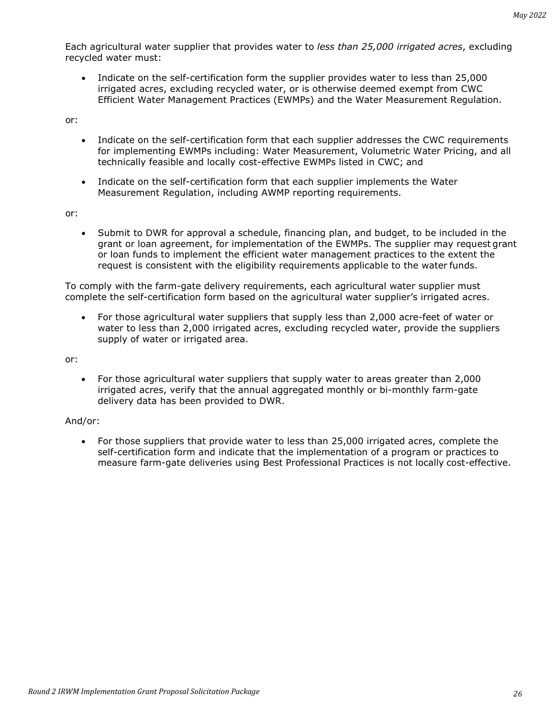Each agricultural water supplier that provides water to *less than 25,000 irrigated acres*, excluding recycled water must:

• Indicate on the self-certification form the supplier provides water to less than 25,000 irrigated acres, excluding recycled water, or is otherwise deemed exempt from CWC Efficient Water Management Practices (EWMPs) and the Water Measurement Regulation.

or:

- Indicate on the self-certification form that each supplier addresses the CWC requirements for implementing EWMPs including: Water Measurement, Volumetric Water Pricing, and all technically feasible and locally cost-effective EWMPs listed in CWC; and
- Indicate on the self-certification form that each supplier implements the Water Measurement Regulation, including AWMP reporting requirements.

or:

• Submit to DWR for approval a schedule, financing plan, and budget, to be included in the grant or loan agreement, for implementation of the EWMPs. The supplier may request grant or loan funds to implement the efficient water management practices to the extent the request is consistent with the eligibility requirements applicable to the water funds.

To comply with the farm-gate delivery requirements, each agricultural water supplier must complete the self-certification form based on the agricultural water supplier's irrigated acres.

• For those agricultural water suppliers that supply less than 2,000 acre-feet of water or water to less than 2,000 irrigated acres, excluding recycled water, provide the suppliers supply of water or irrigated area.

or:

• For those agricultural water suppliers that supply water to areas greater than 2,000 irrigated acres, verify that the annual aggregated monthly or bi-monthly farm-gate delivery data has been provided to DWR.

And/or:

• For those suppliers that provide water to less than 25,000 irrigated acres, complete the self-certification form and indicate that the implementation of a program or practices to measure farm-gate deliveries using Best Professional Practices is not locally cost-effective.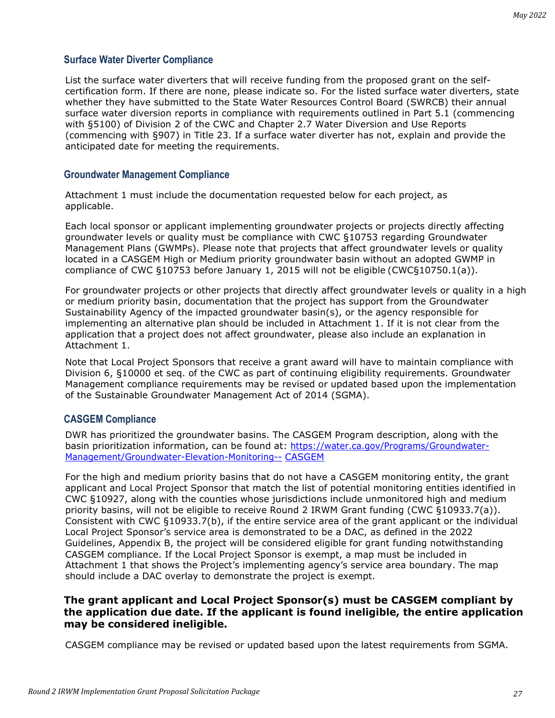#### **Surface Water Diverter Compliance**

List the surface water diverters that will receive funding from the proposed grant on the selfcertification form. If there are none, please indicate so. For the listed surface water diverters, state whether they have submitted to the State Water Resources Control Board (SWRCB) their annual surface water diversion reports in compliance with requirements outlined in Part 5.1 (commencing with §5100) of Division 2 of the CWC and Chapter 2.7 Water Diversion and Use Reports (commencing with §907) in Title 23. If a surface water diverter has not, explain and provide the anticipated date for meeting the requirements.

#### **Groundwater Management Compliance**

Attachment 1 must include the documentation requested below for each project, as applicable.

Each local sponsor or applicant implementing groundwater projects or projects directly affecting groundwater levels or quality must be compliance with CWC §10753 regarding Groundwater Management Plans (GWMPs). Please note that projects that affect groundwater levels or quality located in a CASGEM High or Medium priority groundwater basin without an adopted GWMP in compliance of CWC §10753 before January 1, 2015 will not be eligible (CWC§10750.1(a)).

For groundwater projects or other projects that directly affect groundwater levels or quality in a high or medium priority basin, documentation that the project has support from the Groundwater Sustainability Agency of the impacted groundwater basin(s), or the agency responsible for implementing an alternative plan should be included in Attachment 1. If it is not clear from the application that a project does not affect groundwater, please also include an explanation in Attachment 1.

Note that Local Project Sponsors that receive a grant award will have to maintain compliance with Division 6, §10000 et seq. of the CWC as part of continuing eligibility requirements. Groundwater Management compliance requirements may be revised or updated based upon the implementation of the Sustainable Groundwater Management Act of 2014 (SGMA).

#### **CASGEM Compliance**

DWR has prioritized the groundwater basins. The CASGEM Program description, along with the basin prioritization information, can be found at: [https://water.ca.gov/Programs/Groundwater-](https://water.ca.gov/Programs/Groundwater-Management/Groundwater-Elevation-Monitoring--CASGEM)[Management/Groundwater-Elevation-Monitoring--](https://water.ca.gov/Programs/Groundwater-Management/Groundwater-Elevation-Monitoring--CASGEM) [CASGEM](https://water.ca.gov/Programs/Groundwater-Management/Groundwater-Elevation-Monitoring--CASGEM)

For the high and medium priority basins that do not have a CASGEM monitoring entity, the grant applicant and Local Project Sponsor that match the list of potential monitoring entities identified in CWC §10927, along with the counties whose jurisdictions include unmonitored high and medium priority basins, will not be eligible to receive Round 2 IRWM Grant funding (CWC §10933.7(a)). Consistent with CWC §10933.7(b), if the entire service area of the grant applicant or the individual Local Project Sponsor's service area is demonstrated to be a DAC, as defined in the 2022 Guidelines, Appendix B, the project will be considered eligible for grant funding notwithstanding CASGEM compliance. If the Local Project Sponsor is exempt, a map must be included in Attachment 1 that shows the Project's implementing agency's service area boundary. The map should include a DAC overlay to demonstrate the project is exempt.

#### **The grant applicant and Local Project Sponsor(s) must be CASGEM compliant by the application due date. If the applicant is found ineligible, the entire application may be considered ineligible.**

CASGEM compliance may be revised or updated based upon the latest requirements from SGMA.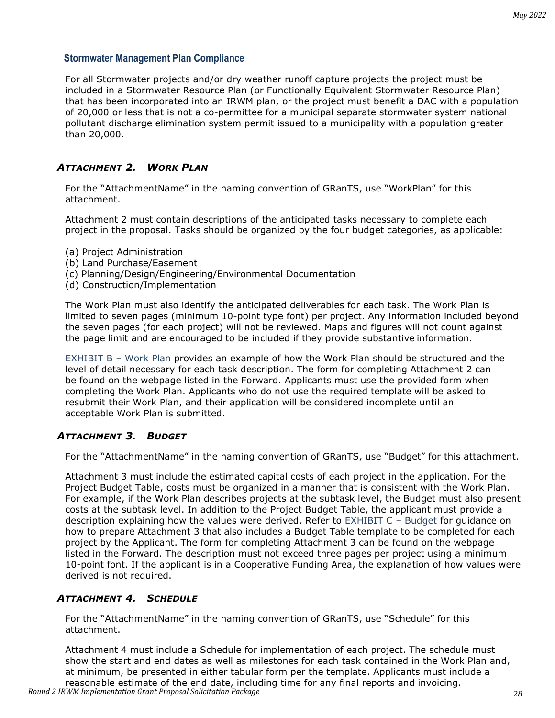#### **Stormwater Management Plan Compliance**

For all Stormwater projects and/or dry weather runoff capture projects the project must be included in a Stormwater Resource Plan (or Functionally Equivalent Stormwater Resource Plan) that has been incorporated into an IRWM plan, or the project must benefit a DAC with a population of 20,000 or less that is not a co-permittee for a municipal separate stormwater system national pollutant discharge elimination system permit issued to a municipality with a population greater than 20,000.

#### *ATTACHMENT 2. WORK PLAN*

For the "AttachmentName" in the naming convention of GRanTS, use "WorkPlan" for this attachment.

Attachment 2 must contain descriptions of the anticipated tasks necessary to complete each project in the proposal. Tasks should be organized by the four budget categories, as applicable:

- (a) Project Administration
- (b) Land Purchase/Easement
- (c) Planning/Design/Engineering/Environmental Documentation
- (d) Construction/Implementation

The Work Plan must also identify the anticipated deliverables for each task. The Work Plan is limited to seven pages (minimum 10-point type font) per project. Any information included beyond the seven pages (for each project) will not be reviewed. Maps and figures will not count against the page limit and are encouraged to be included if they provide substantive information.

[EXHIBIT B](#page-36-0) – Work Plan provides an example of how the Work Plan should be structured and the level of detail necessary for each task description. The form for completing Attachment 2 can be found on the webpage listed in the Forward. Applicants must use the provided form when completing the Work Plan. Applicants who do not use the required template will be asked to resubmit their Work Plan, and their application will be considered incomplete until an acceptable Work Plan is submitted.

#### *ATTACHMENT 3. BUDGET*

For the "AttachmentName" in the naming convention of GRanTS, use "Budget" for this attachment.

Attachment 3 must include the estimated capital costs of each project in the application. For the Project Budget Table, costs must be organized in a manner that is consistent with the Work Plan. For example, if the Work Plan describes projects at the subtask level, the Budget must also present costs at the subtask level. In addition to the Project Budget Table, the applicant must provide a description explaining how the values were derived. Refer to [EXHIBIT C](#page-41-0) – Budget for guidance on how to prepare Attachment 3 that also includes a Budget Table template to be completed for each project by the Applicant. The form for completing Attachment 3 can be found on the webpage listed in the Forward. The description must not exceed three pages per project using a minimum 10-point font. If the applicant is in a Cooperative Funding Area, the explanation of how values were derived is not required.

#### *ATTACHMENT 4. SCHEDULE*

For the "AttachmentName" in the naming convention of GRanTS, use "Schedule" for this attachment.

*Round 2 IRWM Implementation Grant Proposal Solicitation Package* Attachment 4 must include a Schedule for implementation of each project. The schedule must show the start and end dates as well as milestones for each task contained in the Work Plan and, at minimum, be presented in either tabular form per the template. Applicants must include a reasonable estimate of the end date, including time for any final reports and invoicing.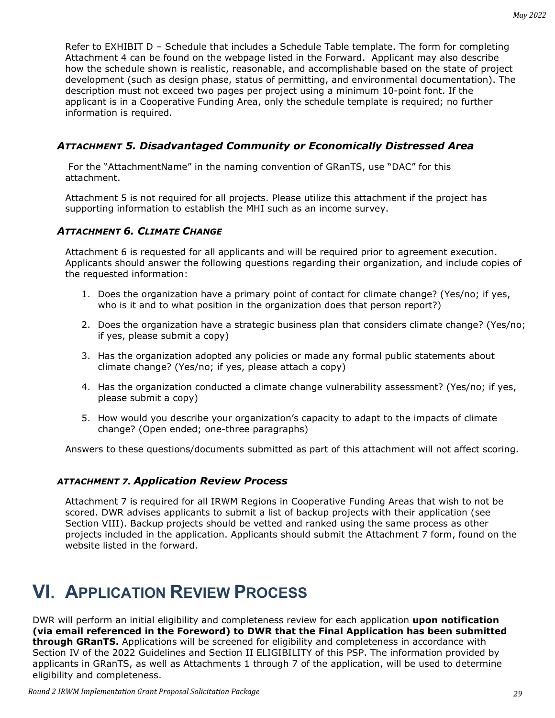Refer to [EXHIBIT D](#page-46-0) – Schedule that includes a Schedule Table template. The form for completing Attachment 4 can be found on the webpage listed in the Forward. Applicant may also describe how the schedule shown is realistic, reasonable, and accomplishable based on the state of project development (such as design phase, status of permitting, and environmental documentation). The description must not exceed two pages per project using a minimum 10-point font. If the applicant is in a Cooperative Funding Area, only the schedule template is required; no further information is required.

#### *ATTACHMENT 5. Disadvantaged Community or Economically Distressed Area*

For the "AttachmentName" in the naming convention of GRanTS, use "DAC" for this attachment.

Attachment 5 is not required for all projects. Please utilize this attachment if the project has supporting information to establish the MHI such as an income survey.

#### *ATTACHMENT 6. CLIMATE CHANGE*

Attachment 6 is requested for all applicants and will be required prior to agreement execution. Applicants should answer the following questions regarding their organization, and include copies of the requested information:

- 1. Does the organization have a primary point of contact for climate change? (Yes/no; if yes, who is it and to what position in the organization does that person report?)
- 2. Does the organization have a strategic business plan that considers climate change? (Yes/no; if yes, please submit a copy)
- 3. Has the organization adopted any policies or made any formal public statements about climate change? (Yes/no; if yes, please attach a copy)
- 4. Has the organization conducted a climate change vulnerability assessment? (Yes/no; if yes, please submit a copy)
- 5. How would you describe your organization's capacity to adapt to the impacts of climate change? (Open ended; one-three paragraphs)

Answers to these questions/documents submitted as part of this attachment will not affect scoring.

#### *ATTACHMENT 7. Application Review Process*

Attachment 7 is required for all IRWM Regions in Cooperative Funding Areas that wish to not be scored. DWR advises applicants to submit a list of backup projects with their application (see Section VIII). Backup projects should be vetted and ranked using the same process as other projects included in the application. Applicants should submit the Attachment 7 form, found on the website listed in the forward.

## <span id="page-29-0"></span>**APPLICATION REVIEW PROCESS**

DWR will perform an initial eligibility and completeness review for each application **upon notification (via email referenced in the Foreword) to DWR that the Final Application has been submitted through GRanTS.** Applications will be screened for eligibility and completeness in accordance with Section IV of the 2022 Guidelines and Section II [ELIGIBILITY](#page-5-1) of this PSP. The information provided by applicants in GRanTS, as well as Attachments 1 through 7 of the application, will be used to determine eligibility and completeness.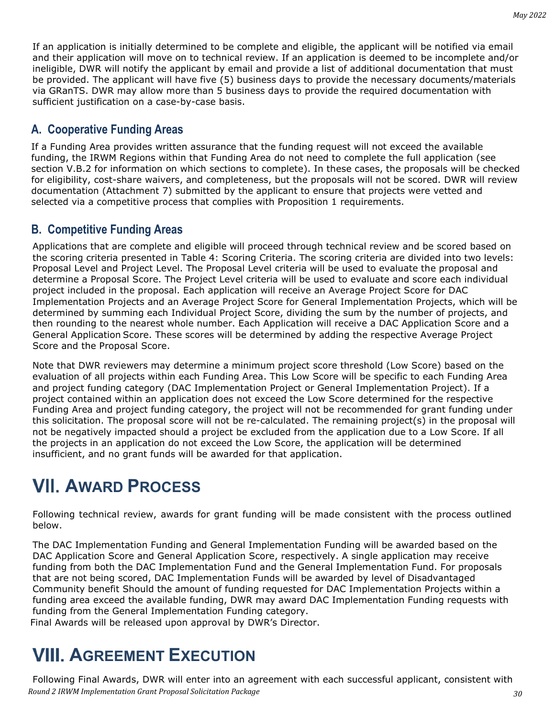If an application is initially determined to be complete and eligible, the applicant will be notified via email and their application will move on to technical review. If an application is deemed to be incomplete and/or ineligible, DWR will notify the applicant by email and provide a list of additional documentation that must be provided. The applicant will have five (5) business days to provide the necessary documents/materials via GRanTS. DWR may allow more than 5 business days to provide the required documentation with sufficient justification on a case-by-case basis.

### <span id="page-30-0"></span>**A. Cooperative Funding Areas**

If a Funding Area provides written assurance that the funding request will not exceed the available funding, the IRWM Regions within that Funding Area do not need to complete the full application (see section V.B.2 for information on which sections to complete). In these cases, the proposals will be checked for eligibility, cost-share waivers, and completeness, but the proposals will not be scored. DWR will review documentation (Attachment 7) submitted by the applicant to ensure that projects were vetted and selected via a competitive process that complies with Proposition 1 requirements.

### <span id="page-30-1"></span>**B. Competitive Funding Areas**

Applications that are complete and eligible will proceed through technical review and be scored based on the scoring criteria presented in [Table 4: Scoring Criteria.](#page-33-0) The scoring criteria are divided into two levels: Proposal Level and Project Level. The Proposal Level criteria will be used to evaluate the proposal and determine a Proposal Score. The Project Level criteria will be used to evaluate and score each individual project included in the proposal. Each application will receive an Average Project Score for DAC Implementation Projects and an Average Project Score for General Implementation Projects, which will be determined by summing each Individual Project Score, dividing the sum by the number of projects, and then rounding to the nearest whole number. Each Application will receive a DAC Application Score and a General Application Score. These scores will be determined by adding the respective Average Project Score and the Proposal Score.

Note that DWR reviewers may determine a minimum project score threshold (Low Score) based on the evaluation of all projects within each Funding Area. This Low Score will be specific to each Funding Area and project funding category (DAC Implementation Project or General Implementation Project). If a project contained within an application does not exceed the Low Score determined for the respective Funding Area and project funding category, the project will not be recommended for grant funding under this solicitation. The proposal score will not be re-calculated. The remaining project(s) in the proposal will not be negatively impacted should a project be excluded from the application due to a Low Score. If all the projects in an application do not exceed the Low Score, the application will be determined insufficient, and no grant funds will be awarded for that application.

## <span id="page-30-2"></span>**VII. AWARD PROCESS**

Following technical review, awards for grant funding will be made consistent with the process outlined below.

The DAC Implementation Funding and General Implementation Funding will be awarded based on the DAC Application Score and General Application Score, respectively. A single application may receive funding from both the DAC Implementation Fund and the General Implementation Fund. For proposals that are not being scored, DAC Implementation Funds will be awarded by level of Disadvantaged Community benefit Should the amount of funding requested for DAC Implementation Projects within a funding area exceed the available funding, DWR may award DAC Implementation Funding requests with funding from the General Implementation Funding category.

Final Awards will be released upon approval by DWR's Director.

## <span id="page-30-3"></span>**VIII. AGREEMENT EXECUTION**

*Round 2 IRWM Implementation Grant Proposal Solicitation Package* Following Final Awards, DWR will enter into an agreement with each successful applicant, consistent with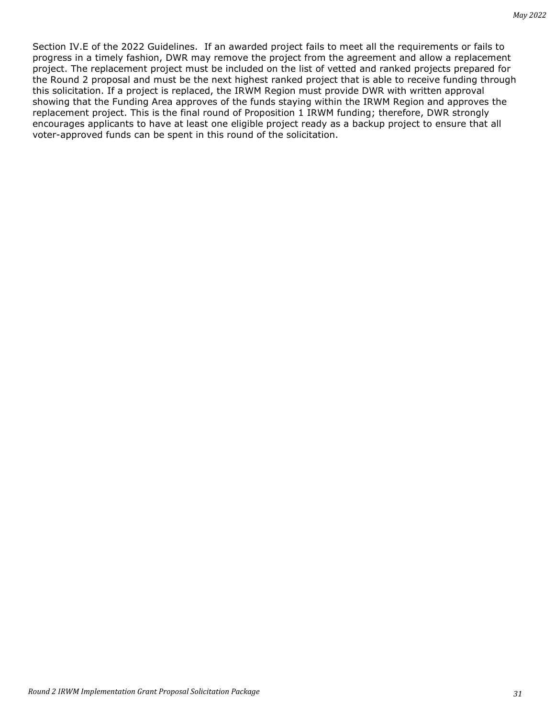Section IV.E of the 2022 Guidelines. If an awarded project fails to meet all the requirements or fails to progress in a timely fashion, DWR may remove the project from the agreement and allow a replacement project. The replacement project must be included on the list of vetted and ranked projects prepared for the Round 2 proposal and must be the next highest ranked project that is able to receive funding through this solicitation. If a project is replaced, the IRWM Region must provide DWR with written approval showing that the Funding Area approves of the funds staying within the IRWM Region and approves the replacement project. This is the final round of Proposition 1 IRWM funding; therefore, DWR strongly encourages applicants to have at least one eligible project ready as a backup project to ensure that all voter-approved funds can be spent in this round of the solicitation.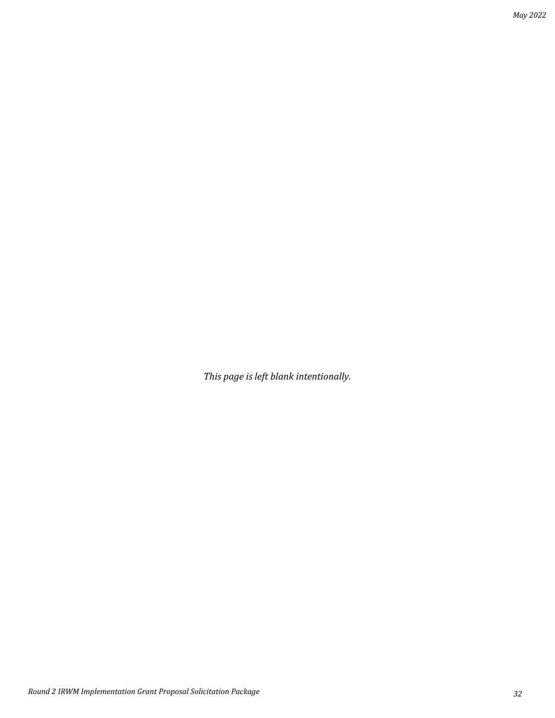<span id="page-32-0"></span>*This page is left blank intentionally.*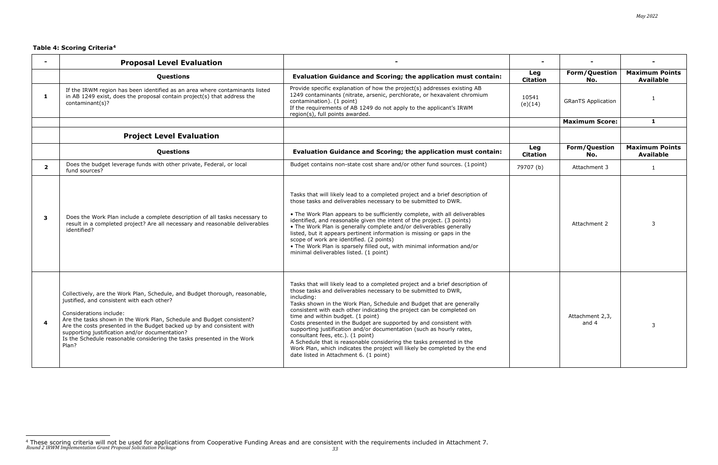<span id="page-33-1"></span>*May 2022*

#### <span id="page-33-0"></span>**Table 4: Scoring Criteria[4](#page-33-1)**

|                         | <b>Proposal Level Evaluation</b>                                                                                                                                                                                                                                                                                                                                                                                                             |                                                                                                                                                                                                                                                                                                                                                                                                                                                                                                                                                                                                                                                                                                                                        |                        |                             |                                           |
|-------------------------|----------------------------------------------------------------------------------------------------------------------------------------------------------------------------------------------------------------------------------------------------------------------------------------------------------------------------------------------------------------------------------------------------------------------------------------------|----------------------------------------------------------------------------------------------------------------------------------------------------------------------------------------------------------------------------------------------------------------------------------------------------------------------------------------------------------------------------------------------------------------------------------------------------------------------------------------------------------------------------------------------------------------------------------------------------------------------------------------------------------------------------------------------------------------------------------------|------------------------|-----------------------------|-------------------------------------------|
|                         | Questions                                                                                                                                                                                                                                                                                                                                                                                                                                    | <b>Evaluation Guidance and Scoring; the application must contain:</b>                                                                                                                                                                                                                                                                                                                                                                                                                                                                                                                                                                                                                                                                  | Leg<br><b>Citation</b> | Form/Question<br>No.        | <b>Maximum Points</b><br><b>Available</b> |
| $\mathbf{1}$            | If the IRWM region has been identified as an area where contaminants listed<br>in AB 1249 exist, does the proposal contain project(s) that address the<br>contaminant(s)?                                                                                                                                                                                                                                                                    | Provide specific explanation of how the project(s) addresses existing AB<br>1249 contaminants (nitrate, arsenic, perchlorate, or hexavalent chromium<br>contamination). (1 point)<br>If the requirements of AB 1249 do not apply to the applicant's IRWM<br>region(s), full points awarded.                                                                                                                                                                                                                                                                                                                                                                                                                                            | 10541<br>(e)(14)       | <b>GRanTS Application</b>   |                                           |
|                         |                                                                                                                                                                                                                                                                                                                                                                                                                                              |                                                                                                                                                                                                                                                                                                                                                                                                                                                                                                                                                                                                                                                                                                                                        |                        | <b>Maximum Score:</b>       | $\mathbf{1}$                              |
|                         | <b>Project Level Evaluation</b>                                                                                                                                                                                                                                                                                                                                                                                                              |                                                                                                                                                                                                                                                                                                                                                                                                                                                                                                                                                                                                                                                                                                                                        |                        |                             |                                           |
|                         | Questions                                                                                                                                                                                                                                                                                                                                                                                                                                    | Evaluation Guidance and Scoring; the application must contain:                                                                                                                                                                                                                                                                                                                                                                                                                                                                                                                                                                                                                                                                         | Leg<br><b>Citation</b> | <b>Form/Question</b><br>No. | <b>Maximum Points</b><br><b>Available</b> |
| $\overline{\mathbf{2}}$ | Does the budget leverage funds with other private, Federal, or local<br>fund sources?                                                                                                                                                                                                                                                                                                                                                        | Budget contains non-state cost share and/or other fund sources. (1 point)                                                                                                                                                                                                                                                                                                                                                                                                                                                                                                                                                                                                                                                              | 79707 (b)              | Attachment 3                |                                           |
| $\overline{\mathbf{3}}$ | Does the Work Plan include a complete description of all tasks necessary to<br>result in a completed project? Are all necessary and reasonable deliverables<br>identified?                                                                                                                                                                                                                                                                   | Tasks that will likely lead to a completed project and a brief description of<br>those tasks and deliverables necessary to be submitted to DWR.<br>• The Work Plan appears to be sufficiently complete, with all deliverables<br>identified, and reasonable given the intent of the project. (3 points)<br>• The Work Plan is generally complete and/or deliverables generally<br>listed, but it appears pertinent information is missing or gaps in the<br>scope of work are identified. (2 points)<br>. The Work Plan is sparsely filled out, with minimal information and/or<br>minimal deliverables listed. (1 point)                                                                                                              |                        | Attachment 2                | 3                                         |
| $\overline{a}$          | Collectively, are the Work Plan, Schedule, and Budget thorough, reasonable,<br>justified, and consistent with each other?<br>Considerations include:<br>Are the tasks shown in the Work Plan, Schedule and Budget consistent?<br>Are the costs presented in the Budget backed up by and consistent with<br>supporting justification and/or documentation?<br>Is the Schedule reasonable considering the tasks presented in the Work<br>Plan? | Tasks that will likely lead to a completed project and a brief description of<br>those tasks and deliverables necessary to be submitted to DWR,<br>including:<br>Tasks shown in the Work Plan, Schedule and Budget that are generally<br>consistent with each other indicating the project can be completed on<br>time and within budget. (1 point)<br>Costs presented in the Budget are supported by and consistent with<br>supporting justification and/or documentation (such as hourly rates,<br>consultant fees, etc.). (1 point)<br>A Schedule that is reasonable considering the tasks presented in the<br>Work Plan, which indicates the project will likely be completed by the end<br>date listed in Attachment 6. (1 point) |                        | Attachment 2,3,<br>and 4    | 3                                         |

<sup>&</sup>lt;sup>4</sup> These scoring criteria will not be used for applications from Cooperative Funding Areas and are consistent with the requirements included in Attachment 7.<br>Round 2 IRWM Implementation Grant Proposal Solicitation Packag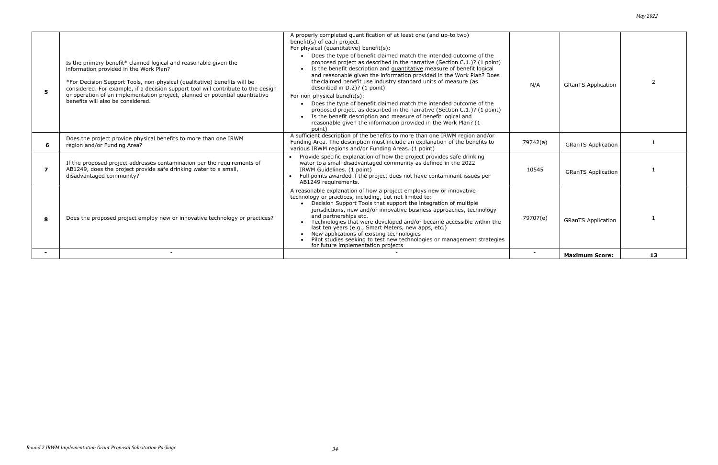*May 2022*

| benefit(s) of each project.<br>For physical (quantitative) benefit(s):<br>• Does the type of benefit claimed match the intended outcome of the<br>proposed project as described in the narrative (Section C.1.)? (1 point)<br>Is the primary benefit* claimed logical and reasonable given the<br>• Is the benefit description and quantitative measure of benefit logical<br>information provided in the Work Plan?<br>and reasonable given the information provided in the Work Plan? Does<br>the claimed benefit use industry standard units of measure (as<br>*For Decision Support Tools, non-physical (qualitative) benefits will be<br>N/A<br><b>GRanTS Application</b><br>described in D.2)? (1 point)<br>considered. For example, if a decision support tool will contribute to the design<br>5<br>or operation of an implementation project, planned or potential quantitative<br>For non-physical benefit(s):<br>benefits will also be considered.<br>Does the type of benefit claimed match the intended outcome of the<br>proposed project as described in the narrative (Section C.1.)? (1 point)<br>• Is the benefit description and measure of benefit logical and<br>reasonable given the information provided in the Work Plan? (1<br>point)<br>A sufficient description of the benefits to more than one IRWM region and/or<br>Does the project provide physical benefits to more than one IRWM<br>Funding Area. The description must include an explanation of the benefits to<br>79742(a)<br><b>GRanTS Application</b><br>region and/or Funding Area?<br>various IRWM regions and/or Funding Areas. (1 point)<br>Provide specific explanation of how the project provides safe drinking<br>If the proposed project addresses contamination per the requirements of<br>water to a small disadvantaged community as defined in the 2022<br>AB1249, does the project provide safe drinking water to a small,<br>IRWM Guidelines. (1 point)<br>10545<br>7<br><b>GRanTS Application</b><br>Full points awarded if the project does not have contaminant issues per<br>disadvantaged community?<br>AB1249 requirements.<br>A reasonable explanation of how a project employs new or innovative<br>technology or practices, including, but not limited to:<br>Decision Support Tools that support the integration of multiple<br>jurisdictions, new and/or innovative business approaches, technology<br>and partnerships etc.<br>Does the proposed project employ new or innovative technology or practices?<br>79707(e)<br>8<br><b>GRanTS Application</b><br>Technologies that were developed and/or became accessible within the<br>last ten years (e.g., Smart Meters, new apps, etc.)<br>New applications of existing technologies<br>Pilot studies seeking to test new technologies or management strategies<br>for future implementation projects |  |                                                                     | <b>Maximum Score:</b> | 13 |
|------------------------------------------------------------------------------------------------------------------------------------------------------------------------------------------------------------------------------------------------------------------------------------------------------------------------------------------------------------------------------------------------------------------------------------------------------------------------------------------------------------------------------------------------------------------------------------------------------------------------------------------------------------------------------------------------------------------------------------------------------------------------------------------------------------------------------------------------------------------------------------------------------------------------------------------------------------------------------------------------------------------------------------------------------------------------------------------------------------------------------------------------------------------------------------------------------------------------------------------------------------------------------------------------------------------------------------------------------------------------------------------------------------------------------------------------------------------------------------------------------------------------------------------------------------------------------------------------------------------------------------------------------------------------------------------------------------------------------------------------------------------------------------------------------------------------------------------------------------------------------------------------------------------------------------------------------------------------------------------------------------------------------------------------------------------------------------------------------------------------------------------------------------------------------------------------------------------------------------------------------------------------------------------------------------------------------------------------------------------------------------------------------------------------------------------------------------------------------------------------------------------------------------------------------------------------------------------------------------------------------------------------------------------------------------------------------------------------------------------------------------------------------------------------------------------------------------------------------------------------|--|---------------------------------------------------------------------|-----------------------|----|
|                                                                                                                                                                                                                                                                                                                                                                                                                                                                                                                                                                                                                                                                                                                                                                                                                                                                                                                                                                                                                                                                                                                                                                                                                                                                                                                                                                                                                                                                                                                                                                                                                                                                                                                                                                                                                                                                                                                                                                                                                                                                                                                                                                                                                                                                                                                                                                                                                                                                                                                                                                                                                                                                                                                                                                                                                                                                        |  |                                                                     |                       |    |
|                                                                                                                                                                                                                                                                                                                                                                                                                                                                                                                                                                                                                                                                                                                                                                                                                                                                                                                                                                                                                                                                                                                                                                                                                                                                                                                                                                                                                                                                                                                                                                                                                                                                                                                                                                                                                                                                                                                                                                                                                                                                                                                                                                                                                                                                                                                                                                                                                                                                                                                                                                                                                                                                                                                                                                                                                                                                        |  |                                                                     |                       |    |
|                                                                                                                                                                                                                                                                                                                                                                                                                                                                                                                                                                                                                                                                                                                                                                                                                                                                                                                                                                                                                                                                                                                                                                                                                                                                                                                                                                                                                                                                                                                                                                                                                                                                                                                                                                                                                                                                                                                                                                                                                                                                                                                                                                                                                                                                                                                                                                                                                                                                                                                                                                                                                                                                                                                                                                                                                                                                        |  |                                                                     |                       |    |
|                                                                                                                                                                                                                                                                                                                                                                                                                                                                                                                                                                                                                                                                                                                                                                                                                                                                                                                                                                                                                                                                                                                                                                                                                                                                                                                                                                                                                                                                                                                                                                                                                                                                                                                                                                                                                                                                                                                                                                                                                                                                                                                                                                                                                                                                                                                                                                                                                                                                                                                                                                                                                                                                                                                                                                                                                                                                        |  | A properly completed quantification of at least one (and up-to two) |                       |    |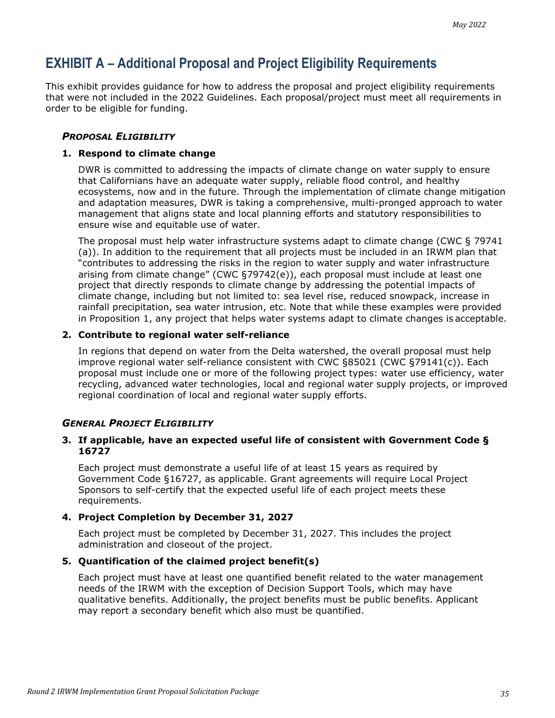## <span id="page-35-0"></span>**EXHIBIT A – Additional Proposal and Project Eligibility Requirements**

This exhibit provides guidance for how to address the proposal and project eligibility requirements that were not included in the 2022 Guidelines. Each proposal/project must meet all requirements in order to be eligible for funding.

#### *PROPOSAL ELIGIBILITY*

#### **1. Respond to climate change**

DWR is committed to addressing the impacts of climate change on water supply to ensure that Californians have an adequate water supply, reliable flood control, and healthy ecosystems, now and in the future. Through the implementation of climate change mitigation and adaptation measures, DWR is taking a comprehensive, multi-pronged approach to water management that aligns state and local planning efforts and statutory responsibilities to ensure wise and equitable use of water.

The proposal must help water infrastructure systems adapt to climate change (CWC § 79741 (a)). In addition to the requirement that all projects must be included in an IRWM plan that "contributes to addressing the risks in the region to water supply and water infrastructure arising from climate change" (CWC §79742(e)), each proposal must include at least one project that directly responds to climate change by addressing the potential impacts of climate change, including but not limited to: sea level rise, reduced snowpack, increase in rainfall precipitation, sea water intrusion, etc. Note that while these examples were provided in Proposition 1, any project that helps water systems adapt to climate changes is acceptable.

#### **2. Contribute to regional water self-reliance**

In regions that depend on water from the Delta watershed, the overall proposal must help improve regional water self-reliance consistent with CWC §85021 (CWC §79141(c)). Each proposal must include one or more of the following project types: water use efficiency, water recycling, advanced water technologies, local and regional water supply projects, or improved regional coordination of local and regional water supply efforts.

#### *GENERAL PROJECT ELIGIBILITY*

#### **3. If applicable, have an expected useful life of consistent with Government Code § 16727**

Each project must demonstrate a useful life of at least 15 years as required by Government Code §16727, as applicable. Grant agreements will require Local Project Sponsors to self-certify that the expected useful life of each project meets these requirements.

#### **4. Project Completion by December 31, 2027**

Each project must be completed by December 31, 2027. This includes the project administration and closeout of the project.

#### **5. Quantification of the claimed project benefit(s)**

Each project must have at least one quantified benefit related to the water management needs of the IRWM with the exception of Decision Support Tools, which may have qualitative benefits. Additionally, the project benefits must be public benefits. Applicant may report a secondary benefit which also must be quantified.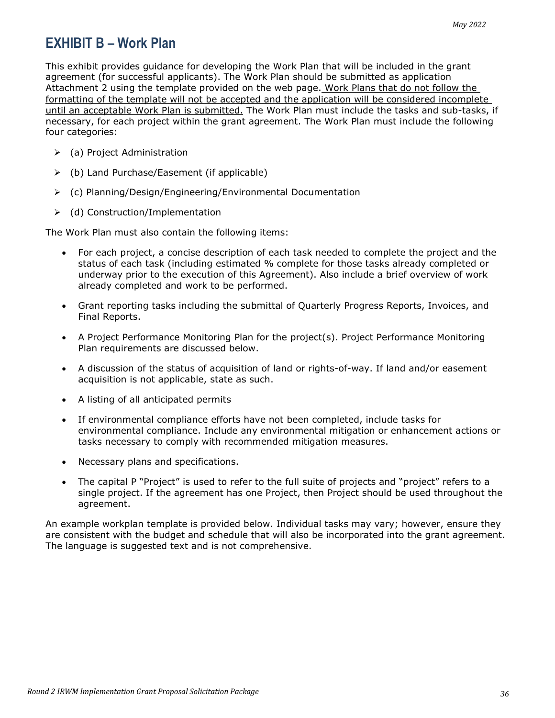## <span id="page-36-0"></span>**EXHIBIT B – Work Plan**

This exhibit provides guidance for developing the Work Plan that will be included in the grant agreement (for successful applicants). The Work Plan should be submitted as application Attachment 2 using the template provided on the web page. Work Plans that do not follow the formatting of the template will not be accepted and the application will be considered incomplete until an acceptable Work Plan is submitted. The Work Plan must include the tasks and sub-tasks, if necessary, for each project within the grant agreement. The Work Plan must include the following four categories:

- $\triangleright$  (a) Project Administration
- $\triangleright$  (b) Land Purchase/Easement (if applicable)
- (c) Planning/Design/Engineering/Environmental Documentation
- $\geq$  (d) Construction/Implementation

The Work Plan must also contain the following items:

- For each project, a concise description of each task needed to complete the project and the status of each task (including estimated % complete for those tasks already completed or underway prior to the execution of this Agreement). Also include a brief overview of work already completed and work to be performed.
- Grant reporting tasks including the submittal of Quarterly Progress Reports, Invoices, and Final Reports.
- A Project Performance Monitoring Plan for the project(s). Project Performance Monitoring Plan requirements are discussed below.
- A discussion of the status of acquisition of land or rights-of-way. If land and/or easement acquisition is not applicable, state as such.
- A listing of all anticipated permits
- If environmental compliance efforts have not been completed, include tasks for environmental compliance. Include any environmental mitigation or enhancement actions or tasks necessary to comply with recommended mitigation measures.
- Necessary plans and specifications.
- The capital P "Project" is used to refer to the full suite of projects and "project" refers to a single project. If the agreement has one Project, then Project should be used throughout the agreement.

An example workplan template is provided below. Individual tasks may vary; however, ensure they are consistent with the budget and schedule that will also be incorporated into the grant agreement. The language is suggested text and is not comprehensive.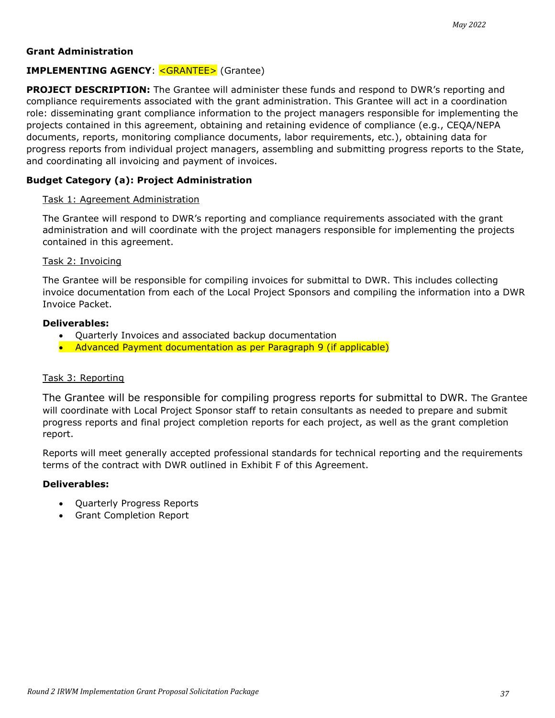#### **Grant Administration**

#### **IMPLEMENTING AGENCY**: <GRANTEE> (Grantee)

**PROJECT DESCRIPTION:** The Grantee will administer these funds and respond to DWR's reporting and compliance requirements associated with the grant administration. This Grantee will act in a coordination role: disseminating grant compliance information to the project managers responsible for implementing the projects contained in this agreement, obtaining and retaining evidence of compliance (e.g., CEQA/NEPA documents, reports, monitoring compliance documents, labor requirements, etc.), obtaining data for progress reports from individual project managers, assembling and submitting progress reports to the State, and coordinating all invoicing and payment of invoices.

#### **Budget Category (a): Project Administration**

#### Task 1: Agreement Administration

The Grantee will respond to DWR's reporting and compliance requirements associated with the grant administration and will coordinate with the project managers responsible for implementing the projects contained in this agreement.

#### Task 2: Invoicing

The Grantee will be responsible for compiling invoices for submittal to DWR. This includes collecting invoice documentation from each of the Local Project Sponsors and compiling the information into a DWR Invoice Packet.

#### **Deliverables:**

- Quarterly Invoices and associated backup documentation
- Advanced Payment documentation as per Paragraph 9 (if applicable)

#### Task 3: Reporting

The Grantee will be responsible for compiling progress reports for submittal to DWR. The Grantee will coordinate with Local Project Sponsor staff to retain consultants as needed to prepare and submit progress reports and final project completion reports for each project, as well as the grant completion report.

Reports will meet generally accepted professional standards for technical reporting and the requirements terms of the contract with DWR outlined in Exhibit F of this Agreement.

#### **Deliverables:**

- Quarterly Progress Reports
- Grant Completion Report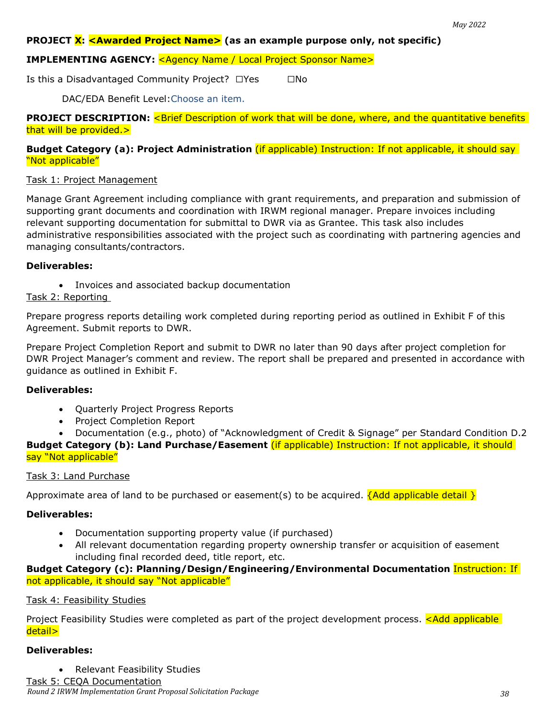#### **PROJECT X: <Awarded Project Name> (as an example purpose only, not specific)**

#### **IMPLEMENTING AGENCY: <Agency Name / Local Project Sponsor Name>**

Is this a Disadvantaged Community Project? □Yes □ □No

DAC/EDA Benefit Level:Choose an item.

**PROJECT DESCRIPTION:** <Brief Description of work that will be done, where, and the quantitative benefits that will be provided.>

#### **Budget Category (a): Project Administration** (if applicable) Instruction: If not applicable, it should say "Not applicable"

#### Task 1: Project Management

Manage Grant Agreement including compliance with grant requirements, and preparation and submission of supporting grant documents and coordination with IRWM regional manager. Prepare invoices including relevant supporting documentation for submittal to DWR via as Grantee. This task also includes administrative responsibilities associated with the project such as coordinating with partnering agencies and managing consultants/contractors.

#### **Deliverables:**

• Invoices and associated backup documentation

#### Task 2: Reporting

Prepare progress reports detailing work completed during reporting period as outlined in Exhibit F of this Agreement. Submit reports to DWR.

Prepare Project Completion Report and submit to DWR no later than 90 days after project completion for DWR Project Manager's comment and review. The report shall be prepared and presented in accordance with guidance as outlined in Exhibit F.

#### **Deliverables:**

- Quarterly Project Progress Reports
- Project Completion Report

• Documentation (e.g., photo) of "Acknowledgment of Credit & Signage" per Standard Condition D.2 **Budget Category (b): Land Purchase/Easement** (if applicable) Instruction: If not applicable, it should say "Not applicable"

#### Task 3: Land Purchase

Approximate area of land to be purchased or easement(s) to be acquired. {Add applicable detail }

#### **Deliverables:**

- Documentation supporting property value (if purchased)
- All relevant documentation regarding property ownership transfer or acquisition of easement including final recorded deed, title report, etc.

#### **Budget Category (c): Planning/Design/Engineering/Environmental Documentation Instruction: If** not applicable, it should say "Not applicable"

#### Task 4: Feasibility Studies

Project Feasibility Studies were completed as part of the project development process. <Add applicable detail>

#### **Deliverables:**

• Relevant Feasibility Studies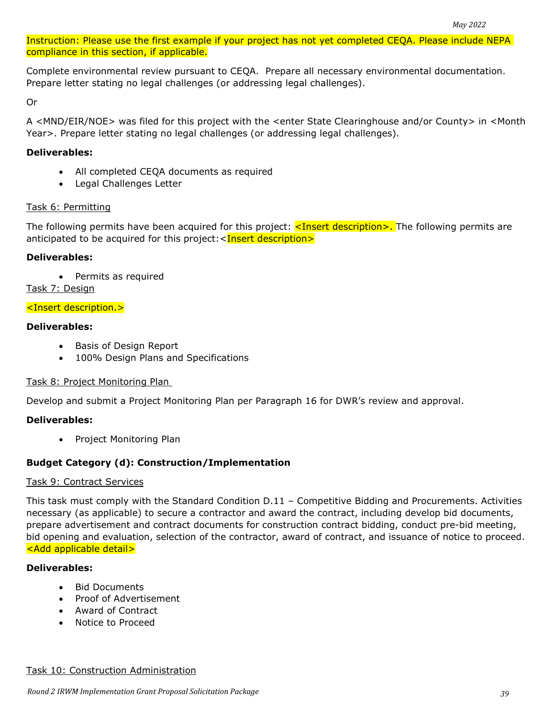Instruction: Please use the first example if your project has not yet completed CEQA. Please include NEPA compliance in this section, if applicable.

Complete environmental review pursuant to CEQA. Prepare all necessary environmental documentation. Prepare letter stating no legal challenges (or addressing legal challenges).

Or

A <MND/EIR/NOE> was filed for this project with the <enter State Clearinghouse and/or County> in <Month Year>. Prepare letter stating no legal challenges (or addressing legal challenges).

#### **Deliverables:**

- All completed CEQA documents as required
- Legal Challenges Letter

#### Task 6: Permitting

The following permits have been acquired for this project:  $\leq$ Insert description>. The following permits are anticipated to be acquired for this project: <**Insert description>** 

#### **Deliverables:**

• Permits as required

Task 7: Design

#### <Insert description.>

#### **Deliverables:**

- Basis of Design Report
- 100% Design Plans and Specifications

#### Task 8: Project Monitoring Plan

Develop and submit a Project Monitoring Plan per Paragraph 16 for DWR's review and approval.

#### **Deliverables:**

• Project Monitoring Plan

#### **Budget Category (d): Construction/Implementation**

#### Task 9: Contract Services

This task must comply with the Standard Condition D.11 – Competitive Bidding and Procurements. Activities necessary (as applicable) to secure a contractor and award the contract, including develop bid documents, prepare advertisement and contract documents for construction contract bidding, conduct pre-bid meeting, bid opening and evaluation, selection of the contractor, award of contract, and issuance of notice to proceed. <Add applicable detail>

#### **Deliverables:**

- Bid Documents
- Proof of Advertisement
- Award of Contract
- Notice to Proceed

#### Task 10: Construction Administration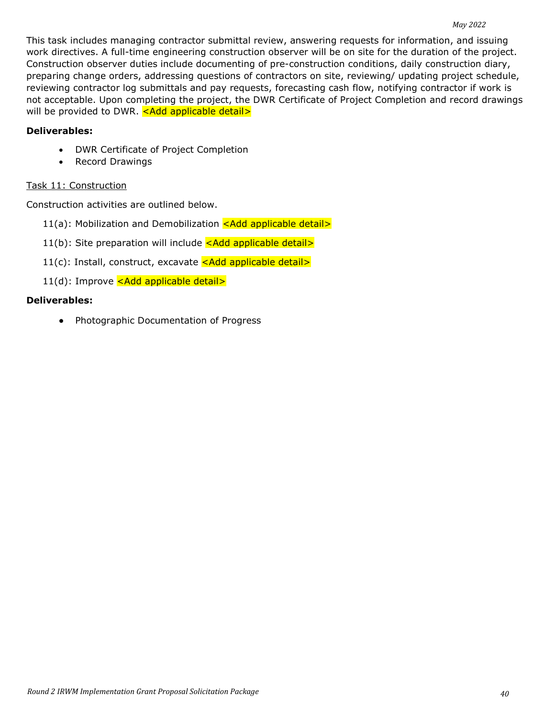This task includes managing contractor submittal review, answering requests for information, and issuing work directives. A full-time engineering construction observer will be on site for the duration of the project. Construction observer duties include documenting of pre-construction conditions, daily construction diary, preparing change orders, addressing questions of contractors on site, reviewing/ updating project schedule, reviewing contractor log submittals and pay requests, forecasting cash flow, notifying contractor if work is not acceptable. Upon completing the project, the DWR Certificate of Project Completion and record drawings will be provided to DWR.  $\leq$  Add applicable detail>

#### **Deliverables:**

- DWR Certificate of Project Completion
- Record Drawings

#### Task 11: Construction

Construction activities are outlined below.

- 11(a): Mobilization and Demobilization  $\leq$  Add applicable detail>
- 11(b): Site preparation will include  $\leq$  Add applicable detail>
- 11(c): Install, construct, excavate <Add applicable detail>
- 11(d): Improve <Add applicable detail>

#### **Deliverables:**

• Photographic Documentation of Progress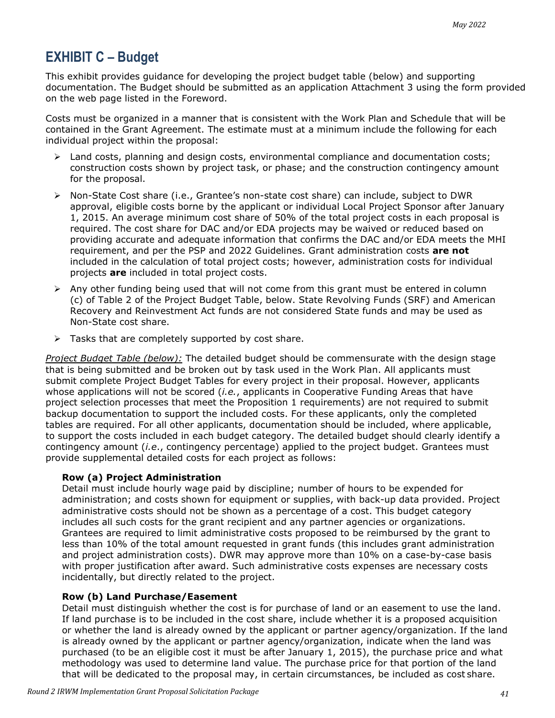## <span id="page-41-0"></span>**EXHIBIT C – Budget**

This exhibit provides guidance for developing the project budget table (below) and supporting documentation. The Budget should be submitted as an application Attachment 3 using the form provided on the web page listed in the Foreword.

Costs must be organized in a manner that is consistent with the Work Plan and Schedule that will be contained in the Grant Agreement. The estimate must at a minimum include the following for each individual project within the proposal:

- $\triangleright$  Land costs, planning and design costs, environmental compliance and documentation costs; construction costs shown by project task, or phase; and the construction contingency amount for the proposal.
- > Non-State Cost share (i.e., Grantee's non-state cost share) can include, subject to DWR approval, eligible costs borne by the applicant or individual Local Project Sponsor after January 1, 2015. An average minimum cost share of 50% of the total project costs in each proposal is required. The cost share for DAC and/or EDA projects may be waived or reduced based on providing accurate and adequate information that confirms the DAC and/or EDA meets the MHI requirement, and per the PSP and 2022 Guidelines. Grant administration costs **are not** included in the calculation of total project costs; however, administration costs for individual projects **are** included in total project costs.
- $\triangleright$  Any other funding being used that will not come from this grant must be entered in column (c) of Table 2 of the Project Budget Table, below. State Revolving Funds (SRF) and American Recovery and Reinvestment Act funds are not considered State funds and may be used as Non-State cost share.
- $\triangleright$  Tasks that are completely supported by cost share.

*Project Budget Table (below):* The detailed budget should be commensurate with the design stage that is being submitted and be broken out by task used in the Work Plan. All applicants must submit complete Project Budget Tables for every project in their proposal. However, applicants whose applications will not be scored (*i.e.*, applicants in Cooperative Funding Areas that have project selection processes that meet the Proposition 1 requirements) are not required to submit backup documentation to support the included costs. For these applicants, only the completed tables are required. For all other applicants, documentation should be included, where applicable, to support the costs included in each budget category. The detailed budget should clearly identify a contingency amount (*i.e*., contingency percentage) applied to the project budget. Grantees must provide supplemental detailed costs for each project as follows:

#### **Row (a) Project Administration**

Detail must include hourly wage paid by discipline; number of hours to be expended for administration; and costs shown for equipment or supplies, with back-up data provided. Project administrative costs should not be shown as a percentage of a cost. This budget category includes all such costs for the grant recipient and any partner agencies or organizations. Grantees are required to limit administrative costs proposed to be reimbursed by the grant to less than 10% of the total amount requested in grant funds (this includes grant administration and project administration costs). DWR may approve more than 10% on a case-by-case basis with proper justification after award. Such administrative costs expenses are necessary costs incidentally, but directly related to the project.

#### **Row (b) Land Purchase/Easement**

Detail must distinguish whether the cost is for purchase of land or an easement to use the land. If land purchase is to be included in the cost share, include whether it is a proposed acquisition or whether the land is already owned by the applicant or partner agency/organization. If the land is already owned by the applicant or partner agency/organization, indicate when the land was purchased (to be an eligible cost it must be after January 1, 2015), the purchase price and what methodology was used to determine land value. The purchase price for that portion of the land that will be dedicated to the proposal may, in certain circumstances, be included as cost share.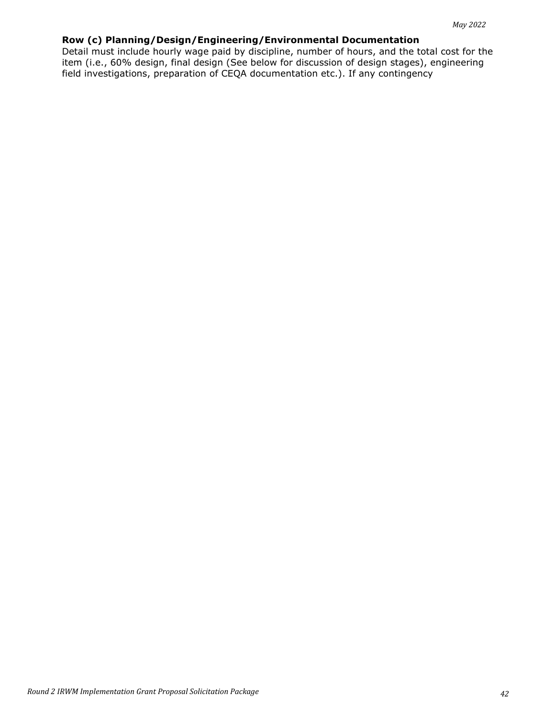#### **Row (c) Planning/Design/Engineering/Environmental Documentation**

Detail must include hourly wage paid by discipline, number of hours, and the total cost for the item (i.e., 60% design, final design (See below for discussion of design stages), engineering field investigations, preparation of CEQA documentation etc.). If any contingency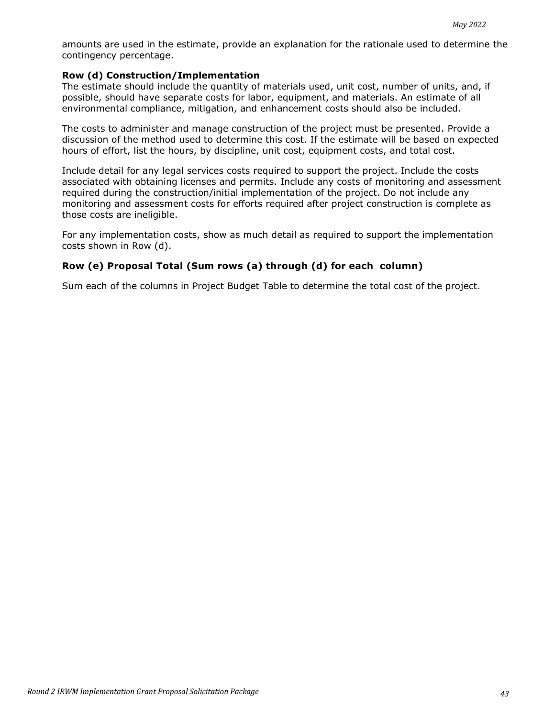amounts are used in the estimate, provide an explanation for the rationale used to determine the contingency percentage.

#### **Row (d) Construction/Implementation**

The estimate should include the quantity of materials used, unit cost, number of units, and, if possible, should have separate costs for labor, equipment, and materials. An estimate of all environmental compliance, mitigation, and enhancement costs should also be included.

The costs to administer and manage construction of the project must be presented. Provide a discussion of the method used to determine this cost. If the estimate will be based on expected hours of effort, list the hours, by discipline, unit cost, equipment costs, and total cost.

Include detail for any legal services costs required to support the project. Include the costs associated with obtaining licenses and permits. Include any costs of monitoring and assessment required during the construction/initial implementation of the project. Do not include any monitoring and assessment costs for efforts required after project construction is complete as those costs are ineligible.

For any implementation costs, show as much detail as required to support the implementation costs shown in Row (d).

#### **Row (e) Proposal Total (Sum rows (a) through (d) for each column)**

Sum each of the columns in Project Budget Table to determine the total cost of the project.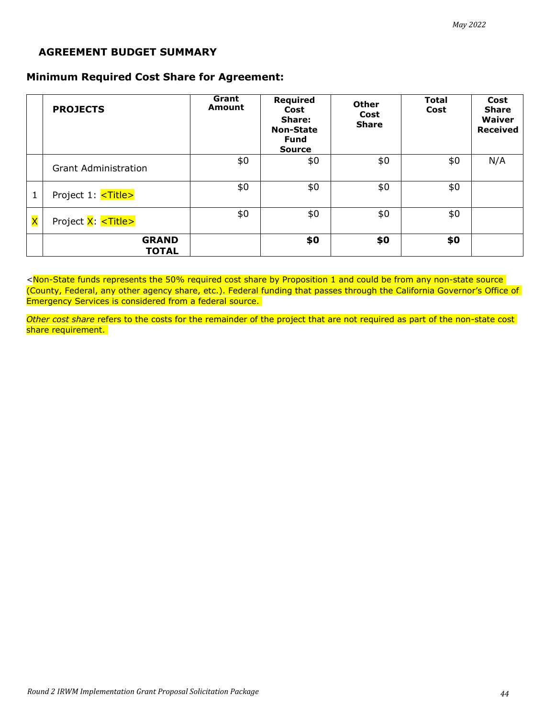#### **AGREEMENT BUDGET SUMMARY**

#### **Minimum Required Cost Share for Agreement:**

|                         | <b>PROJECTS</b>              | Grant<br>Amount | Required<br>Cost<br>Share:<br><b>Non-State</b><br>Fund<br><b>Source</b> | <b>Other</b><br>Cost<br><b>Share</b> | <b>Total</b><br>Cost | Cost<br><b>Share</b><br>Waiver<br><b>Received</b> |
|-------------------------|------------------------------|-----------------|-------------------------------------------------------------------------|--------------------------------------|----------------------|---------------------------------------------------|
|                         | <b>Grant Administration</b>  | \$0             | \$0                                                                     | \$0                                  | \$0                  | N/A                                               |
| 1                       | Project 1: <title></title>   | \$0             | \$0                                                                     | \$0                                  | \$0                  |                                                   |
| $\overline{\mathsf{x}}$ | Project X: <title></title>   | \$0             | \$0                                                                     | \$0                                  | \$0                  |                                                   |
|                         | <b>GRAND</b><br><b>TOTAL</b> |                 | \$0                                                                     | \$0                                  | \$0                  |                                                   |

<Non-State funds represents the 50% required cost share by Proposition 1 and could be from any non-state source (County, Federal, any other agency share, etc.). Federal funding that passes through the California Governor's Office of Emergency Services is considered from a federal source.

*Other cost share* refers to the costs for the remainder of the project that are not required as part of the non-state cost share requirement.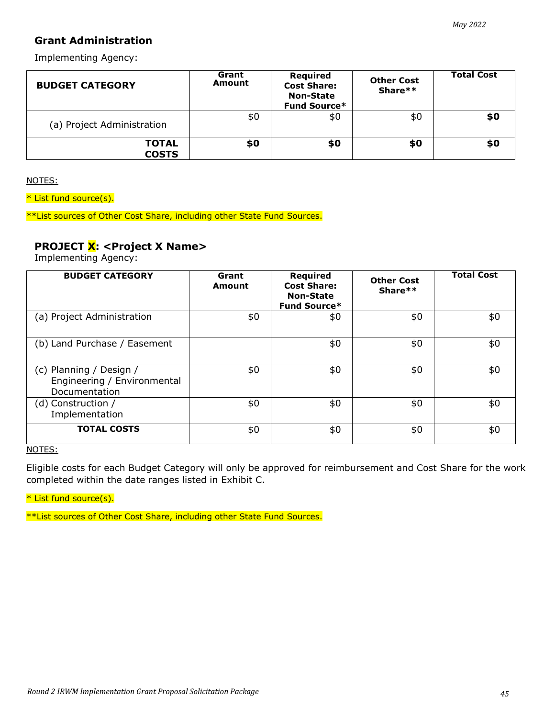#### **Grant Administration**

Implementing Agency:

| <b>BUDGET CATEGORY</b>       | Grant<br>Amount | Required<br><b>Cost Share:</b><br><b>Non-State</b><br><b>Fund Source*</b> | <b>Other Cost</b><br>Share** | <b>Total Cost</b> |
|------------------------------|-----------------|---------------------------------------------------------------------------|------------------------------|-------------------|
| (a) Project Administration   | \$0             | \$0                                                                       | \$0                          | \$0               |
| <b>TOTAL</b><br><b>COSTS</b> | \$0             | \$0                                                                       | \$0                          | \$0               |

NOTES:

\* List fund source(s).

\*\*List sources of Other Cost Share, including other State Fund Sources.

#### **PROJECT X: < Project X Name>**

Implementing Agency:

| <b>BUDGET CATEGORY</b>                                                  | Grant<br><b>Amount</b> | Required<br><b>Cost Share:</b><br><b>Non-State</b><br><b>Fund Source*</b> | <b>Other Cost</b><br>Share** | <b>Total Cost</b> |
|-------------------------------------------------------------------------|------------------------|---------------------------------------------------------------------------|------------------------------|-------------------|
| (a) Project Administration                                              | \$0                    | \$0                                                                       | \$0                          | \$0               |
| (b) Land Purchase / Easement                                            |                        | \$0                                                                       | \$0                          | \$0               |
| (c) Planning / Design /<br>Engineering / Environmental<br>Documentation | \$0                    | \$0                                                                       | \$0                          | \$0               |
| (d) Construction /<br>Implementation                                    | \$0                    | \$0                                                                       | \$0                          | \$0               |
| <b>TOTAL COSTS</b>                                                      | \$0                    | \$0                                                                       | \$0                          | \$0               |

NOTES:

Eligible costs for each Budget Category will only be approved for reimbursement and Cost Share for the work completed within the date ranges listed in Exhibit C.

#### \* List fund source(s).

\*\*List sources of Other Cost Share, including other State Fund Sources.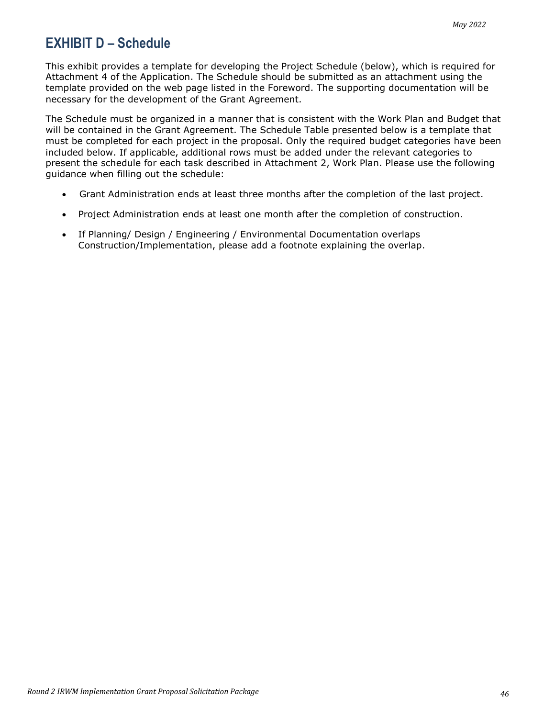## <span id="page-46-0"></span>**EXHIBIT D – Schedule**

This exhibit provides a template for developing the Project Schedule (below), which is required for Attachment 4 of the Application. The Schedule should be submitted as an attachment using the template provided on the web page listed in the Foreword. The supporting documentation will be necessary for the development of the Grant Agreement.

The Schedule must be organized in a manner that is consistent with the Work Plan and Budget that will be contained in the Grant Agreement. The Schedule Table presented below is a template that must be completed for each project in the proposal. Only the required budget categories have been included below. If applicable, additional rows must be added under the relevant categories to present the schedule for each task described in Attachment 2, Work Plan. Please use the following guidance when filling out the schedule:

- Grant Administration ends at least three months after the completion of the last project.
- Project Administration ends at least one month after the completion of construction.
- If Planning/ Design / Engineering / Environmental Documentation overlaps Construction/Implementation, please add a footnote explaining the overlap.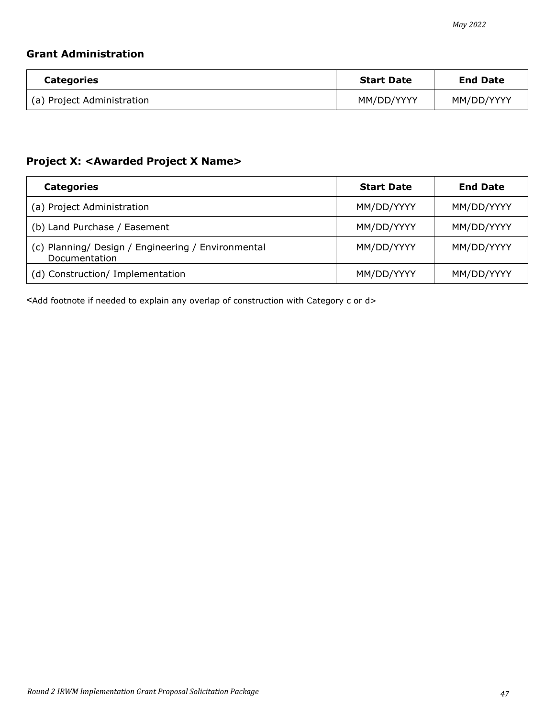#### **Grant Administration**

| <b>Categories</b>          | <b>Start Date</b> | <b>End Date</b> |
|----------------------------|-------------------|-----------------|
| (a) Project Administration | MM/DD/YYYY        | MM/DD/YYYY      |

### **Project X: <Awarded Project X Name>**

| <b>Categories</b>                                                   | <b>Start Date</b> | <b>End Date</b> |
|---------------------------------------------------------------------|-------------------|-----------------|
| (a) Project Administration                                          | MM/DD/YYYY        | MM/DD/YYYY      |
| (b) Land Purchase / Easement                                        | MM/DD/YYYY        | MM/DD/YYYY      |
| (c) Planning/ Design / Engineering / Environmental<br>Documentation | MM/DD/YYYY        | MM/DD/YYYY      |
| (d) Construction/ Implementation                                    | MM/DD/YYYY        | MM/DD/YYYY      |

<Add footnote if needed to explain any overlap of construction with Category c or d>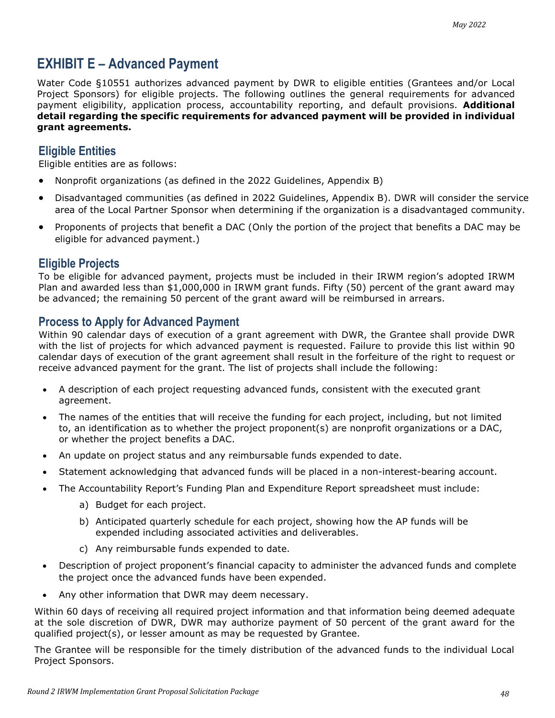## <span id="page-48-0"></span>**EXHIBIT E – Advanced Payment**

Water Code §10551 authorizes advanced payment by DWR to eligible entities (Grantees and/or Local Project Sponsors) for eligible projects. The following outlines the general requirements for advanced payment eligibility, application process, accountability reporting, and default provisions. **Additional detail regarding the specific requirements for advanced payment will be provided in individual grant agreements.**

### **Eligible Entities**

Eligible entities are as follows:

- Nonprofit organizations (as defined in the 2022 Guidelines, Appendix B)
- Disadvantaged communities (as defined in 2022 Guidelines, Appendix B). DWR will consider the service area of the Local Partner Sponsor when determining if the organization is a disadvantaged community.
- Proponents of projects that benefit a DAC (Only the portion of the project that benefits a DAC may be eligible for advanced payment.)

### **Eligible Projects**

To be eligible for advanced payment, projects must be included in their IRWM region's adopted IRWM Plan and awarded less than \$1,000,000 in IRWM grant funds. Fifty (50) percent of the grant award may be advanced; the remaining 50 percent of the grant award will be reimbursed in arrears.

#### **Process to Apply for Advanced Payment**

Within 90 calendar days of execution of a grant agreement with DWR, the Grantee shall provide DWR with the list of projects for which advanced payment is requested. Failure to provide this list within 90 calendar days of execution of the grant agreement shall result in the forfeiture of the right to request or receive advanced payment for the grant. The list of projects shall include the following:

- A description of each project requesting advanced funds, consistent with the executed grant agreement.
- The names of the entities that will receive the funding for each project, including, but not limited to, an identification as to whether the project proponent(s) are nonprofit organizations or a DAC, or whether the project benefits a DAC.
- An update on project status and any reimbursable funds expended to date.
- Statement acknowledging that advanced funds will be placed in a non-interest-bearing account.
- The Accountability Report's Funding Plan and Expenditure Report spreadsheet must include:
	- a) Budget for each project.
	- b) Anticipated quarterly schedule for each project, showing how the AP funds will be expended including associated activities and deliverables.
	- c) Any reimbursable funds expended to date.
- Description of project proponent's financial capacity to administer the advanced funds and complete the project once the advanced funds have been expended.
- Any other information that DWR may deem necessary.

Within 60 days of receiving all required project information and that information being deemed adequate at the sole discretion of DWR, DWR may authorize payment of 50 percent of the grant award for the qualified project(s), or lesser amount as may be requested by Grantee.

The Grantee will be responsible for the timely distribution of the advanced funds to the individual Local Project Sponsors.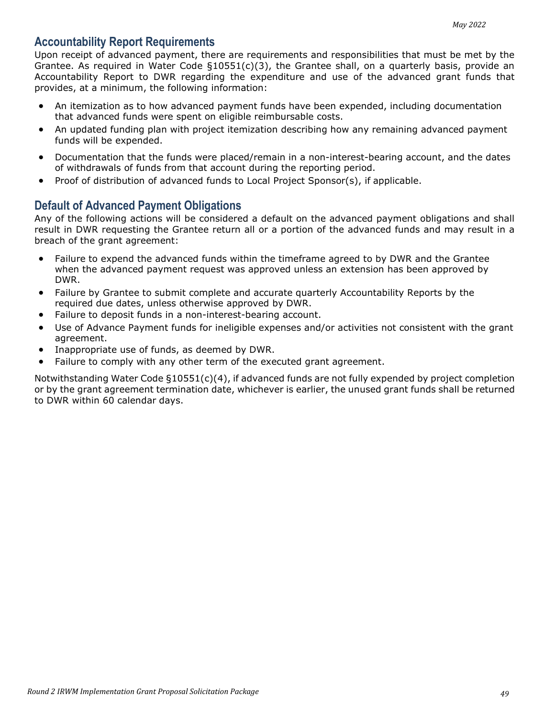### **Accountability Report Requirements**

Upon receipt of advanced payment, there are requirements and responsibilities that must be met by the Grantee. As required in Water Code  $\S10551(c)(3)$ , the Grantee shall, on a quarterly basis, provide an Accountability Report to DWR regarding the expenditure and use of the advanced grant funds that provides, at a minimum, the following information:

- An itemization as to how advanced payment funds have been expended, including documentation that advanced funds were spent on eligible reimbursable costs.
- An updated funding plan with project itemization describing how any remaining advanced payment funds will be expended.
- Documentation that the funds were placed/remain in a non-interest-bearing account, and the dates of withdrawals of funds from that account during the reporting period.
- Proof of distribution of advanced funds to Local Project Sponsor(s), if applicable.

#### **Default of Advanced Payment Obligations**

Any of the following actions will be considered a default on the advanced payment obligations and shall result in DWR requesting the Grantee return all or a portion of the advanced funds and may result in a breach of the grant agreement:

- Failure to expend the advanced funds within the timeframe agreed to by DWR and the Grantee when the advanced payment request was approved unless an extension has been approved by DWR.
- Failure by Grantee to submit complete and accurate quarterly Accountability Reports by the required due dates, unless otherwise approved by DWR.
- Failure to deposit funds in a non-interest-bearing account.
- Use of Advance Payment funds for ineligible expenses and/or activities not consistent with the grant agreement.
- Inappropriate use of funds, as deemed by DWR.
- Failure to comply with any other term of the executed grant agreement.

Notwithstanding Water Code §10551(c)(4), if advanced funds are not fully expended by project completion or by the grant agreement termination date, whichever is earlier, the unused grant funds shall be returned to DWR within 60 calendar days.